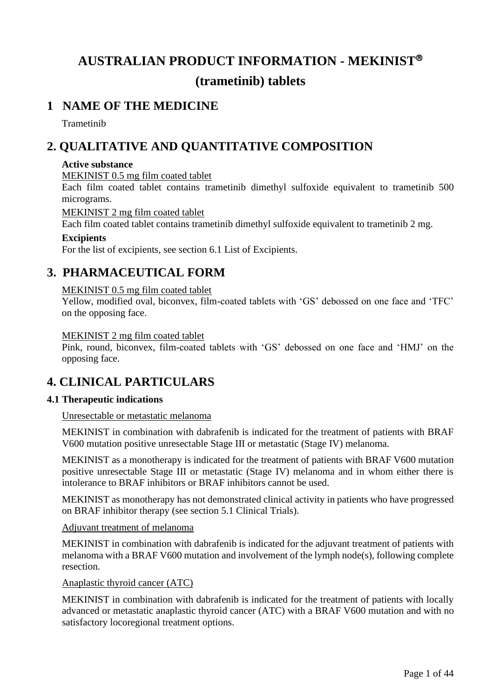# **AUSTRALIAN PRODUCT INFORMATION - MEKINIST (trametinib) tablets**

## **1 NAME OF THE MEDICINE**

Trametinib

## **2. QUALITATIVE AND QUANTITATIVE COMPOSITION**

#### **Active substance**

MEKINIST 0.5 mg film coated tablet

Each film coated tablet contains trametinib dimethyl sulfoxide equivalent to trametinib 500 micrograms.

MEKINIST 2 mg film coated tablet

Each film coated tablet contains trametinib dimethyl sulfoxide equivalent to trametinib 2 mg.

#### **Excipients**

For the list of excipients, see section 6.1 List of Excipients.

## **3. PHARMACEUTICAL FORM**

### MEKINIST 0.5 mg film coated tablet

Yellow, modified oval, biconvex, film-coated tablets with 'GS' debossed on one face and 'TFC' on the opposing face.

#### MEKINIST 2 mg film coated tablet

Pink, round, biconvex, film-coated tablets with 'GS' debossed on one face and 'HMJ' on the opposing face.

## **4. CLINICAL PARTICULARS**

### **4.1 Therapeutic indications**

Unresectable or metastatic melanoma

MEKINIST in combination with dabrafenib is indicated for the treatment of patients with BRAF V600 mutation positive unresectable Stage III or metastatic (Stage IV) melanoma.

MEKINIST as a monotherapy is indicated for the treatment of patients with BRAF V600 mutation positive unresectable Stage III or metastatic (Stage IV) melanoma and in whom either there is intolerance to BRAF inhibitors or BRAF inhibitors cannot be used.

MEKINIST as monotherapy has not demonstrated clinical activity in patients who have progressed on BRAF inhibitor therapy (see section 5.1 Clinical Trials).

#### Adjuvant treatment of melanoma

MEKINIST in combination with dabrafenib is indicated for the adjuvant treatment of patients with melanoma with a BRAF V600 mutation and involvement of the lymph node(s), following complete resection.

#### Anaplastic thyroid cancer (ATC)

MEKINIST in combination with dabrafenib is indicated for the treatment of patients with locally advanced or metastatic anaplastic thyroid cancer (ATC) with a BRAF V600 mutation and with no satisfactory locoregional treatment options.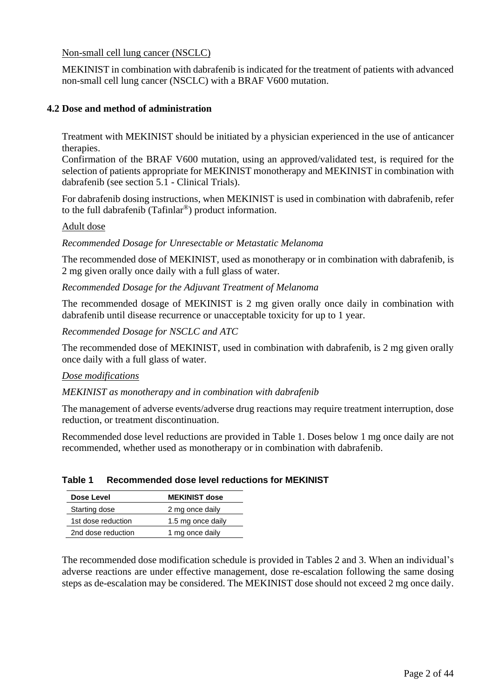Non-small cell lung cancer (NSCLC)

MEKINIST in combination with dabrafenib is indicated for the treatment of patients with advanced non-small cell lung cancer (NSCLC) with a BRAF V600 mutation.

### **4.2 Dose and method of administration**

Treatment with MEKINIST should be initiated by a physician experienced in the use of anticancer therapies.

Confirmation of the BRAF V600 mutation, using an approved/validated test, is required for the selection of patients appropriate for MEKINIST monotherapy and MEKINIST in combination with dabrafenib (see section 5.1 - Clinical Trials).

For dabrafenib dosing instructions, when MEKINIST is used in combination with dabrafenib, refer to the full dabrafenib (Tafinlar®) product information.

#### Adult dose

*Recommended Dosage for Unresectable or Metastatic Melanoma*

The recommended dose of MEKINIST, used as monotherapy or in combination with dabrafenib, is 2 mg given orally once daily with a full glass of water.

*Recommended Dosage for the Adjuvant Treatment of Melanoma*

The recommended dosage of MEKINIST is 2 mg given orally once daily in combination with dabrafenib until disease recurrence or unacceptable toxicity for up to 1 year.

*Recommended Dosage for NSCLC and ATC*

The recommended dose of MEKINIST, used in combination with dabrafenib, is 2 mg given orally once daily with a full glass of water.

#### *Dose modifications*

*MEKINIST as monotherapy and in combination with dabrafenib*

The management of adverse events/adverse drug reactions may require treatment interruption, dose reduction, or treatment discontinuation.

Recommended dose level reductions are provided in Table 1. Doses below 1 mg once daily are not recommended, whether used as monotherapy or in combination with dabrafenib.

| Dose Level         | <b>MEKINIST dose</b> |
|--------------------|----------------------|
| Starting dose      | 2 mg once daily      |
| 1st dose reduction | 1.5 mg once daily    |
| 2nd dose reduction | 1 mg once daily      |

#### **Table 1 Recommended dose level reductions for MEKINIST**

The recommended dose modification schedule is provided in Tables 2 and 3. When an individual's adverse reactions are under effective management, dose re-escalation following the same dosing steps as de-escalation may be considered. The MEKINIST dose should not exceed 2 mg once daily.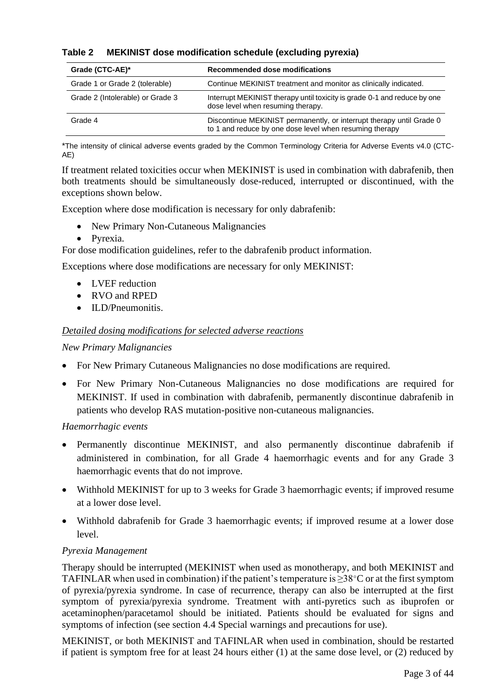| Table 2 |  | <b>MEKINIST dose modification schedule (excluding pyrexia)</b> |  |  |  |
|---------|--|----------------------------------------------------------------|--|--|--|
|---------|--|----------------------------------------------------------------|--|--|--|

| Grade (CTC-AE)*                  | Recommended dose modifications                                                                                                  |
|----------------------------------|---------------------------------------------------------------------------------------------------------------------------------|
| Grade 1 or Grade 2 (tolerable)   | Continue MEKINIST treatment and monitor as clinically indicated.                                                                |
| Grade 2 (Intolerable) or Grade 3 | Interrupt MEKINIST therapy until toxicity is grade 0-1 and reduce by one<br>dose level when resuming therapy.                   |
| Grade 4                          | Discontinue MEKINIST permanently, or interrupt therapy until Grade 0<br>to 1 and reduce by one dose level when resuming therapy |

\*The intensity of clinical adverse events graded by the Common Terminology Criteria for Adverse Events v4.0 (CTC-AE)

If treatment related toxicities occur when MEKINIST is used in combination with dabrafenib, then both treatments should be simultaneously dose-reduced, interrupted or discontinued, with the exceptions shown below.

Exception where dose modification is necessary for only dabrafenib:

- New Primary Non-Cutaneous Malignancies
- Pyrexia.

For dose modification guidelines, refer to the dabrafenib product information.

Exceptions where dose modifications are necessary for only MEKINIST:

- LVEF reduction
- RVO and RPED
- ILD/Pneumonitis.

#### *Detailed dosing modifications for selected adverse reactions*

#### *New Primary Malignancies*

- For New Primary Cutaneous Malignancies no dose modifications are required.
- For New Primary Non-Cutaneous Malignancies no dose modifications are required for MEKINIST. If used in combination with dabrafenib, permanently discontinue dabrafenib in patients who develop RAS mutation-positive non-cutaneous malignancies.

#### *Haemorrhagic events*

- Permanently discontinue MEKINIST, and also permanently discontinue dabrafenib if administered in combination, for all Grade 4 haemorrhagic events and for any Grade 3 haemorrhagic events that do not improve.
- Withhold MEKINIST for up to 3 weeks for Grade 3 haemorrhagic events; if improved resume at a lower dose level.
- Withhold dabrafenib for Grade 3 haemorrhagic events; if improved resume at a lower dose level.

### *Pyrexia Management*

Therapy should be interrupted (MEKINIST when used as monotherapy, and both MEKINIST and TAFINLAR when used in combination) if the patient's temperature is  $\geq 38^{\circ}$ C or at the first symptom of pyrexia/pyrexia syndrome. In case of recurrence, therapy can also be interrupted at the first symptom of pyrexia/pyrexia syndrome. Treatment with anti-pyretics such as ibuprofen or acetaminophen/paracetamol should be initiated. Patients should be evaluated for signs and symptoms of infection (see section 4.4 Special warnings and precautions for use).

MEKINIST, or both MEKINIST and TAFINLAR when used in combination, should be restarted if patient is symptom free for at least 24 hours either (1) at the same dose level, or (2) reduced by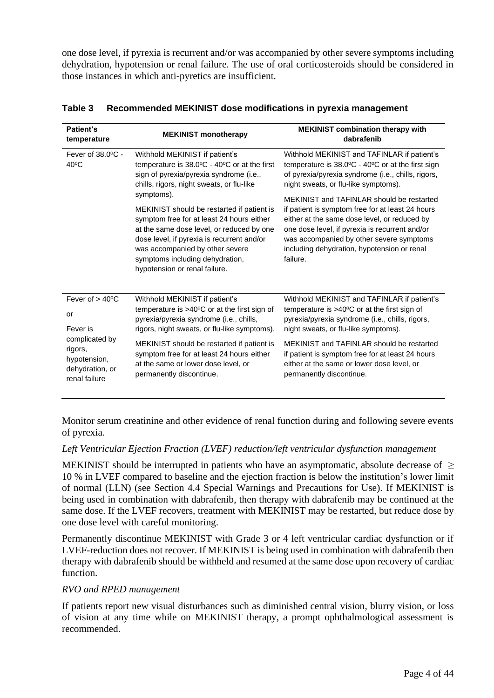one dose level, if pyrexia is recurrent and/or was accompanied by other severe symptoms including dehydration, hypotension or renal failure. The use of oral corticosteroids should be considered in those instances in which anti-pyretics are insufficient.

| Patient's<br>temperature                                                      | <b>MEKINIST monotherapy</b>                                                                                                                                                                                                                                                               | <b>MEKINIST combination therapy with</b><br>dabrafenib                                                                                                                                                                                                    |
|-------------------------------------------------------------------------------|-------------------------------------------------------------------------------------------------------------------------------------------------------------------------------------------------------------------------------------------------------------------------------------------|-----------------------------------------------------------------------------------------------------------------------------------------------------------------------------------------------------------------------------------------------------------|
| Fever of $38.0$ °C -<br>$40^{\circ}$ C                                        | Withhold MEKINIST if patient's<br>temperature is 38.0°C - 40°C or at the first<br>sign of pyrexia/pyrexia syndrome (i.e.,<br>chills, rigors, night sweats, or flu-like<br>symptoms).                                                                                                      | Withhold MEKINIST and TAFINLAR if patient's<br>temperature is 38.0°C - 40°C or at the first sign<br>of pyrexia/pyrexia syndrome (i.e., chills, rigors,<br>night sweats, or flu-like symptoms).<br>MEKINIST and TAFINLAR should be restarted               |
|                                                                               | MEKINIST should be restarted if patient is<br>symptom free for at least 24 hours either<br>at the same dose level, or reduced by one<br>dose level, if pyrexia is recurrent and/or<br>was accompanied by other severe<br>symptoms including dehydration,<br>hypotension or renal failure. | if patient is symptom free for at least 24 hours<br>either at the same dose level, or reduced by<br>one dose level, if pyrexia is recurrent and/or<br>was accompanied by other severe symptoms<br>including dehydration, hypotension or renal<br>failure. |
| Fever of $> 40^{\circ}$ C<br>or<br>Fever is                                   | Withhold MEKINIST if patient's<br>temperature is >40°C or at the first sign of<br>pyrexia/pyrexia syndrome (i.e., chills,<br>rigors, night sweats, or flu-like symptoms).                                                                                                                 | Withhold MEKINIST and TAFINLAR if patient's<br>temperature is $>40^{\circ}$ C or at the first sign of<br>pyrexia/pyrexia syndrome (i.e., chills, rigors,<br>night sweats, or flu-like symptoms).                                                          |
| complicated by<br>rigors,<br>hypotension,<br>dehydration, or<br>renal failure | MEKINIST should be restarted if patient is<br>symptom free for at least 24 hours either<br>at the same or lower dose level, or<br>permanently discontinue.                                                                                                                                | MEKINIST and TAFINLAR should be restarted<br>if patient is symptom free for at least 24 hours<br>either at the same or lower dose level, or<br>permanently discontinue.                                                                                   |

#### **Table 3 Recommended MEKINIST dose modifications in pyrexia management**

Monitor serum creatinine and other evidence of renal function during and following severe events of pyrexia.

#### *Left Ventricular Ejection Fraction (LVEF) reduction/left ventricular dysfunction management*

MEKINIST should be interrupted in patients who have an asymptomatic, absolute decrease of  $\geq$ 10 % in LVEF compared to baseline and the ejection fraction is below the institution's lower limit of normal (LLN) (see Section 4.4 Special Warnings and Precautions for Use). If MEKINIST is being used in combination with dabrafenib, then therapy with dabrafenib may be continued at the same dose. If the LVEF recovers, treatment with MEKINIST may be restarted, but reduce dose by one dose level with careful monitoring.

Permanently discontinue MEKINIST with Grade 3 or 4 left ventricular cardiac dysfunction or if LVEF-reduction does not recover. If MEKINIST is being used in combination with dabrafenib then therapy with dabrafenib should be withheld and resumed at the same dose upon recovery of cardiac function.

### *RVO and RPED management*

If patients report new visual disturbances such as diminished central vision, blurry vision, or loss of vision at any time while on MEKINIST therapy, a prompt ophthalmological assessment is recommended.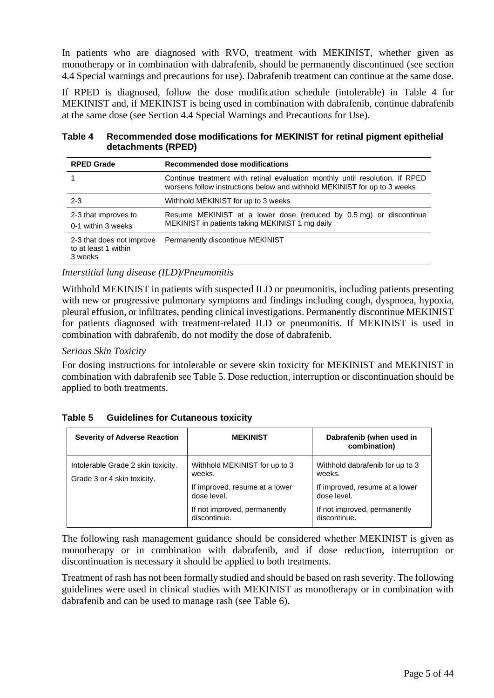In patients who are diagnosed with RVO, treatment with MEKINIST, whether given as monotherapy or in combination with dabrafenib, should be permanently discontinued (see section 4.4 Special warnings and precautions for use). Dabrafenib treatment can continue at the same dose.

If RPED is diagnosed, follow the dose modification schedule (intolerable) in Table 4 for MEKINIST and, if MEKINIST is being used in combination with dabrafenib, continue dabrafenib at the same dose (see Section 4.4 Special Warnings and Precautions for Use).

| Table 4 | Recommended dose modifications for MEKINIST for retinal pigment epithelial |
|---------|----------------------------------------------------------------------------|
|         | detachments (RPED)                                                         |

| <b>RPED Grade</b>                                            | Recommended dose modifications                                                                                                                            |  |
|--------------------------------------------------------------|-----------------------------------------------------------------------------------------------------------------------------------------------------------|--|
|                                                              | Continue treatment with retinal evaluation monthly until resolution. If RPED<br>worsens follow instructions below and withhold MEKINIST for up to 3 weeks |  |
| $2 - 3$                                                      | Withhold MEKINIST for up to 3 weeks                                                                                                                       |  |
| 2-3 that improves to<br>0-1 within 3 weeks                   | Resume MEKINIST at a lower dose (reduced by 0.5 mg) or discontinue<br>MEKINIST in patients taking MEKINIST 1 mg daily                                     |  |
| 2-3 that does not improve<br>to at least 1 within<br>3 weeks | Permanently discontinue MEKINIST                                                                                                                          |  |

#### *Interstitial lung disease (ILD)/Pneumonitis*

Withhold MEKINIST in patients with suspected ILD or pneumonitis, including patients presenting with new or progressive pulmonary symptoms and findings including cough, dyspnoea, hypoxia, pleural effusion, or infiltrates, pending clinical investigations. Permanently discontinue MEKINIST for patients diagnosed with treatment-related ILD or pneumonitis. If MEKINIST is used in combination with dabrafenib, do not modify the dose of dabrafenib.

#### *Serious Skin Toxicity*

For dosing instructions for intolerable or severe skin toxicity for MEKINIST and MEKINIST in combination with dabrafenib see Table 5. Dose reduction, interruption or discontinuation should be applied to both treatments.

| Table 5 | <b>Guidelines for Cutaneous toxicity</b> |
|---------|------------------------------------------|
|---------|------------------------------------------|

| <b>Severity of Adverse Reaction</b>                               | <b>MEKINIST</b>                               | Dabrafenib (when used in<br>combination)      |
|-------------------------------------------------------------------|-----------------------------------------------|-----------------------------------------------|
| Intolerable Grade 2 skin toxicity.<br>Grade 3 or 4 skin toxicity. | Withhold MEKINIST for up to 3<br>weeks.       | Withhold dabrafenib for up to 3<br>weeks.     |
|                                                                   | If improved, resume at a lower<br>dose level. | If improved, resume at a lower<br>dose level. |
|                                                                   | If not improved, permanently<br>discontinue.  | If not improved, permanently<br>discontinue.  |

The following rash management guidance should be considered whether MEKINIST is given as monotherapy or in combination with dabrafenib, and if dose reduction, interruption or discontinuation is necessary it should be applied to both treatments.

Treatment of rash has not been formally studied and should be based on rash severity. The following guidelines were used in clinical studies with MEKINIST as monotherapy or in combination with dabrafenib and can be used to manage rash (see Table 6).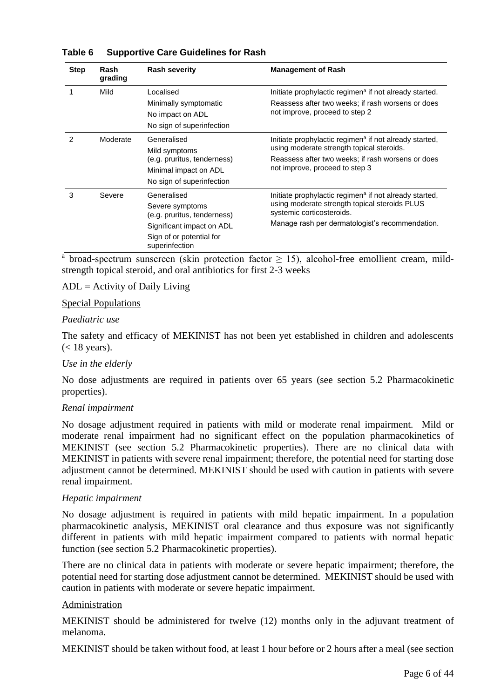| <b>Step</b> | Rash<br>grading | <b>Rash severity</b>                                                                                                                     | <b>Management of Rash</b>                                                                                                                                                                              |
|-------------|-----------------|------------------------------------------------------------------------------------------------------------------------------------------|--------------------------------------------------------------------------------------------------------------------------------------------------------------------------------------------------------|
|             | Mild            | Localised<br>Minimally symptomatic<br>No impact on ADL<br>No sign of superinfection                                                      | Initiate prophylactic regimen <sup>a</sup> if not already started.<br>Reassess after two weeks; if rash worsens or does<br>not improve, proceed to step 2                                              |
|             | Moderate        | Generalised<br>Mild symptoms<br>(e.g. pruritus, tenderness)<br>Minimal impact on ADL<br>No sign of superinfection                        | Initiate prophylactic regimen <sup>a</sup> if not already started,<br>using moderate strength topical steroids.<br>Reassess after two weeks; if rash worsens or does<br>not improve, proceed to step 3 |
| 3           | Severe          | Generalised<br>Severe symptoms<br>(e.g. pruritus, tenderness)<br>Significant impact on ADL<br>Sign of or potential for<br>superinfection | Initiate prophylactic regimen <sup>a</sup> if not already started,<br>using moderate strength topical steroids PLUS<br>systemic corticosteroids.<br>Manage rash per dermatologist's recommendation.    |

#### **Table 6 Supportive Care Guidelines for Rash**

<sup>a</sup> broad-spectrum sunscreen (skin protection factor  $\geq$  15), alcohol-free emollient cream, mildstrength topical steroid, and oral antibiotics for first 2-3 weeks

#### $ADL =$  Activity of Daily Living

#### Special Populations

#### *Paediatric use*

The safety and efficacy of MEKINIST has not been yet established in children and adolescents  $(< 18$  years).

#### *Use in the elderly*

No dose adjustments are required in patients over 65 years (see section 5.2 Pharmacokinetic properties).

#### *Renal impairment*

No dosage adjustment required in patients with mild or moderate renal impairment. Mild or moderate renal impairment had no significant effect on the population pharmacokinetics of MEKINIST (see section 5.2 Pharmacokinetic properties). There are no clinical data with MEKINIST in patients with severe renal impairment; therefore, the potential need for starting dose adjustment cannot be determined. MEKINIST should be used with caution in patients with severe renal impairment.

#### *Hepatic impairment*

No dosage adjustment is required in patients with mild hepatic impairment. In a population pharmacokinetic analysis, MEKINIST oral clearance and thus exposure was not significantly different in patients with mild hepatic impairment compared to patients with normal hepatic function (see section 5.2 Pharmacokinetic properties).

There are no clinical data in patients with moderate or severe hepatic impairment; therefore, the potential need for starting dose adjustment cannot be determined. MEKINIST should be used with caution in patients with moderate or severe hepatic impairment.

#### Administration

MEKINIST should be administered for twelve (12) months only in the adjuvant treatment of melanoma.

MEKINIST should be taken without food, at least 1 hour before or 2 hours after a meal (see section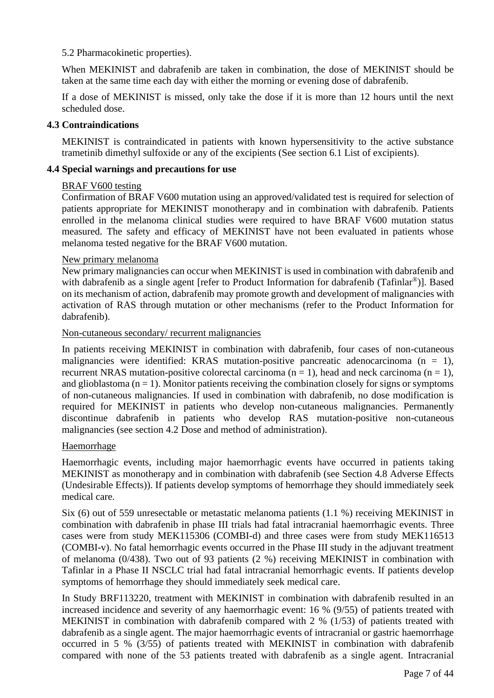#### 5.2 Pharmacokinetic properties).

When MEKINIST and dabrafenib are taken in combination, the dose of MEKINIST should be taken at the same time each day with either the morning or evening dose of dabrafenib.

If a dose of MEKINIST is missed, only take the dose if it is more than 12 hours until the next scheduled dose.

#### **4.3 Contraindications**

MEKINIST is contraindicated in patients with known hypersensitivity to the active substance trametinib dimethyl sulfoxide or any of the excipients (See section 6.1 List of excipients).

#### **4.4 Special warnings and precautions for use**

#### BRAF V600 testing

Confirmation of BRAF V600 mutation using an approved/validated test is required for selection of patients appropriate for MEKINIST monotherapy and in combination with dabrafenib. Patients enrolled in the melanoma clinical studies were required to have BRAF V600 mutation status measured. The safety and efficacy of MEKINIST have not been evaluated in patients whose melanoma tested negative for the BRAF V600 mutation.

#### New primary melanoma

New primary malignancies can occur when MEKINIST is used in combination with dabrafenib and with dabrafenib as a single agent [refer to Product Information for dabrafenib (Tafinlar<sup>®</sup>)]. Based on its mechanism of action, dabrafenib may promote growth and development of malignancies with activation of RAS through mutation or other mechanisms (refer to the Product Information for dabrafenib).

#### Non-cutaneous secondary/ recurrent malignancies

In patients receiving MEKINIST in combination with dabrafenib, four cases of non-cutaneous malignancies were identified: KRAS mutation-positive pancreatic adenocarcinoma ( $n = 1$ ), recurrent NRAS mutation-positive colorectal carcinoma ( $n = 1$ ), head and neck carcinoma ( $n = 1$ ), and glioblastoma  $(n = 1)$ . Monitor patients receiving the combination closely for signs or symptoms of non-cutaneous malignancies. If used in combination with dabrafenib, no dose modification is required for MEKINIST in patients who develop non-cutaneous malignancies. Permanently discontinue dabrafenib in patients who develop RAS mutation-positive non-cutaneous malignancies (see section 4.2 Dose and method of administration).

#### Haemorrhage

Haemorrhagic events, including major haemorrhagic events have occurred in patients taking MEKINIST as monotherapy and in combination with dabrafenib (see Section 4.8 Adverse Effects (Undesirable Effects)). If patients develop symptoms of hemorrhage they should immediately seek medical care.

Six (6) out of 559 unresectable or metastatic melanoma patients (1.1 %) receiving MEKINIST in combination with dabrafenib in phase III trials had fatal intracranial haemorrhagic events. Three cases were from study MEK115306 (COMBI-d) and three cases were from study MEK116513 (COMBI-v). No fatal hemorrhagic events occurred in the Phase III study in the adjuvant treatment of melanoma (0/438). Two out of 93 patients (2 %) receiving MEKINIST in combination with Tafinlar in a Phase II NSCLC trial had fatal intracranial hemorrhagic events. If patients develop symptoms of hemorrhage they should immediately seek medical care.

In Study BRF113220, treatment with MEKINIST in combination with dabrafenib resulted in an increased incidence and severity of any haemorrhagic event: 16 % (9/55) of patients treated with MEKINIST in combination with dabrafenib compared with 2 % (1/53) of patients treated with dabrafenib as a single agent. The major haemorrhagic events of intracranial or gastric haemorrhage occurred in 5 % (3/55) of patients treated with MEKINIST in combination with dabrafenib compared with none of the 53 patients treated with dabrafenib as a single agent. Intracranial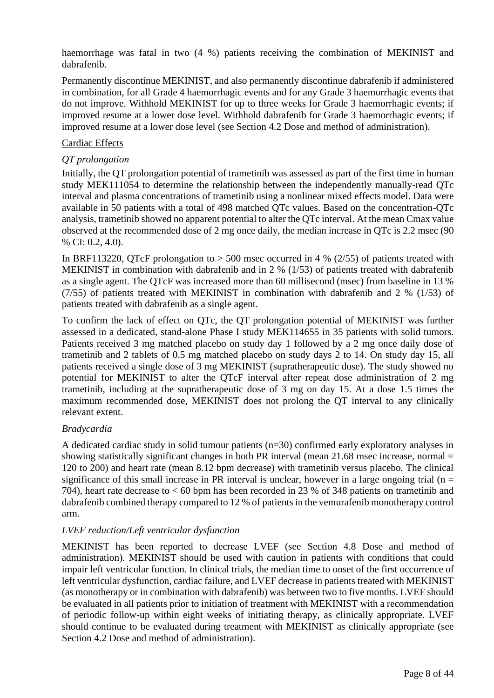haemorrhage was fatal in two (4 %) patients receiving the combination of MEKINIST and dabrafenib.

Permanently discontinue MEKINIST, and also permanently discontinue dabrafenib if administered in combination, for all Grade 4 haemorrhagic events and for any Grade 3 haemorrhagic events that do not improve. Withhold MEKINIST for up to three weeks for Grade 3 haemorrhagic events; if improved resume at a lower dose level. Withhold dabrafenib for Grade 3 haemorrhagic events; if improved resume at a lower dose level (see Section 4.2 Dose and method of administration).

### Cardiac Effects

#### *QT prolongation*

Initially, the QT prolongation potential of trametinib was assessed as part of the first time in human study MEK111054 to determine the relationship between the independently manually-read QTc interval and plasma concentrations of trametinib using a nonlinear mixed effects model. Data were available in 50 patients with a total of 498 matched QTc values. Based on the concentration-QTc analysis, trametinib showed no apparent potential to alter the QTc interval. At the mean Cmax value observed at the recommended dose of 2 mg once daily, the median increase in QTc is 2.2 msec (90 % CI: 0.2, 4.0).

In BRF113220, QTcF prolongation to  $> 500$  msec occurred in 4 % (2/55) of patients treated with MEKINIST in combination with dabrafenib and in 2 % (1/53) of patients treated with dabrafenib as a single agent. The QTcF was increased more than 60 millisecond (msec) from baseline in 13 % (7/55) of patients treated with MEKINIST in combination with dabrafenib and 2 % (1/53) of patients treated with dabrafenib as a single agent.

To confirm the lack of effect on QTc, the QT prolongation potential of MEKINIST was further assessed in a dedicated, stand-alone Phase I study MEK114655 in 35 patients with solid tumors. Patients received 3 mg matched placebo on study day 1 followed by a 2 mg once daily dose of trametinib and 2 tablets of 0.5 mg matched placebo on study days 2 to 14. On study day 15, all patients received a single dose of 3 mg MEKINIST (supratherapeutic dose). The study showed no potential for MEKINIST to alter the QTcF interval after repeat dose administration of 2 mg trametinib, including at the supratherapeutic dose of 3 mg on day 15. At a dose 1.5 times the maximum recommended dose, MEKINIST does not prolong the QT interval to any clinically relevant extent.

#### *Bradycardia*

A dedicated cardiac study in solid tumour patients (n=30) confirmed early exploratory analyses in showing statistically significant changes in both PR interval (mean 21.68 msec increase, normal = 120 to 200) and heart rate (mean 8.12 bpm decrease) with trametinib versus placebo. The clinical significance of this small increase in PR interval is unclear, however in a large ongoing trial ( $n =$ 704), heart rate decrease to < 60 bpm has been recorded in 23 % of 348 patients on trametinib and dabrafenib combined therapy compared to 12 % of patients in the vemurafenib monotherapy control arm.

#### *LVEF reduction/Left ventricular dysfunction*

MEKINIST has been reported to decrease LVEF (see Section 4.8 Dose and method of administration). MEKINIST should be used with caution in patients with conditions that could impair left ventricular function. In clinical trials, the median time to onset of the first occurrence of left ventricular dysfunction, cardiac failure, and LVEF decrease in patients treated with MEKINIST (as monotherapy or in combination with dabrafenib) was between two to five months. LVEF should be evaluated in all patients prior to initiation of treatment with MEKINIST with a recommendation of periodic follow-up within eight weeks of initiating therapy, as clinically appropriate. LVEF should continue to be evaluated during treatment with MEKINIST as clinically appropriate (see Section 4.2 Dose and method of administration).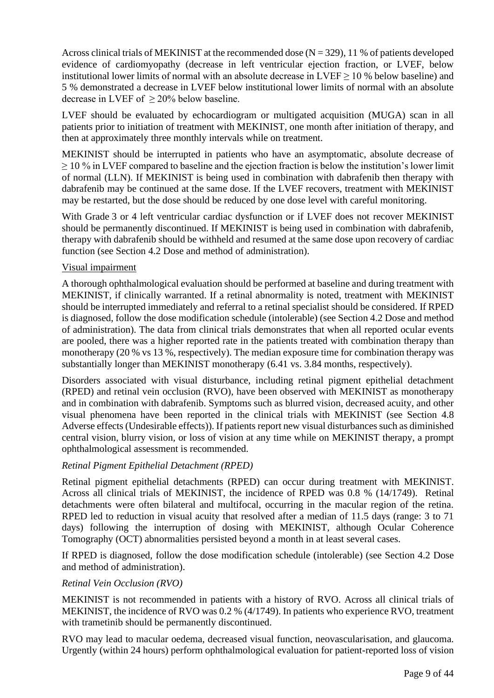Across clinical trials of MEKINIST at the recommended dose  $(N = 329)$ , 11 % of patients developed evidence of cardiomyopathy (decrease in left ventricular ejection fraction, or LVEF, below institutional lower limits of normal with an absolute decrease in  $LVEF \ge 10$  % below baseline) and 5 % demonstrated a decrease in LVEF below institutional lower limits of normal with an absolute decrease in LVEF of ≥ 20% below baseline.

LVEF should be evaluated by echocardiogram or multigated acquisition (MUGA) scan in all patients prior to initiation of treatment with MEKINIST, one month after initiation of therapy, and then at approximately three monthly intervals while on treatment.

MEKINIST should be interrupted in patients who have an asymptomatic, absolute decrease of  $\geq$  10 % in LVEF compared to baseline and the ejection fraction is below the institution's lower limit of normal (LLN). If MEKINIST is being used in combination with dabrafenib then therapy with dabrafenib may be continued at the same dose. If the LVEF recovers, treatment with MEKINIST may be restarted, but the dose should be reduced by one dose level with careful monitoring.

With Grade 3 or 4 left ventricular cardiac dysfunction or if LVEF does not recover MEKINIST should be permanently discontinued. If MEKINIST is being used in combination with dabrafenib, therapy with dabrafenib should be withheld and resumed at the same dose upon recovery of cardiac function (see Section 4.2 Dose and method of administration).

#### Visual impairment

A thorough ophthalmological evaluation should be performed at baseline and during treatment with MEKINIST, if clinically warranted. If a retinal abnormality is noted, treatment with MEKINIST should be interrupted immediately and referral to a retinal specialist should be considered. If RPED is diagnosed, follow the dose modification schedule (intolerable) (see Section 4.2 Dose and method of administration). The data from clinical trials demonstrates that when all reported ocular events are pooled, there was a higher reported rate in the patients treated with combination therapy than monotherapy (20 % vs 13 %, respectively). The median exposure time for combination therapy was substantially longer than MEKINIST monotherapy (6.41 vs. 3.84 months, respectively).

Disorders associated with visual disturbance, including retinal pigment epithelial detachment (RPED) and retinal vein occlusion (RVO), have been observed with MEKINIST as monotherapy and in combination with dabrafenib. Symptoms such as blurred vision, decreased acuity, and other visual phenomena have been reported in the clinical trials with MEKINIST (see Section 4.8 Adverse effects (Undesirable effects)). If patients report new visual disturbances such as diminished central vision, blurry vision, or loss of vision at any time while on MEKINIST therapy, a prompt ophthalmological assessment is recommended.

#### *Retinal Pigment Epithelial Detachment (RPED)*

Retinal pigment epithelial detachments (RPED) can occur during treatment with MEKINIST. Across all clinical trials of MEKINIST, the incidence of RPED was 0.8 % (14/1749). Retinal detachments were often bilateral and multifocal, occurring in the macular region of the retina. RPED led to reduction in visual acuity that resolved after a median of 11.5 days (range: 3 to 71 days) following the interruption of dosing with MEKINIST, although Ocular Coherence Tomography (OCT) abnormalities persisted beyond a month in at least several cases.

If RPED is diagnosed, follow the dose modification schedule (intolerable) (see Section 4.2 Dose and method of administration).

#### *Retinal Vein Occlusion (RVO)*

MEKINIST is not recommended in patients with a history of RVO. Across all clinical trials of MEKINIST, the incidence of RVO was 0.2 % (4/1749). In patients who experience RVO, treatment with trametinib should be permanently discontinued.

RVO may lead to macular oedema, decreased visual function, neovascularisation, and glaucoma. Urgently (within 24 hours) perform ophthalmological evaluation for patient-reported loss of vision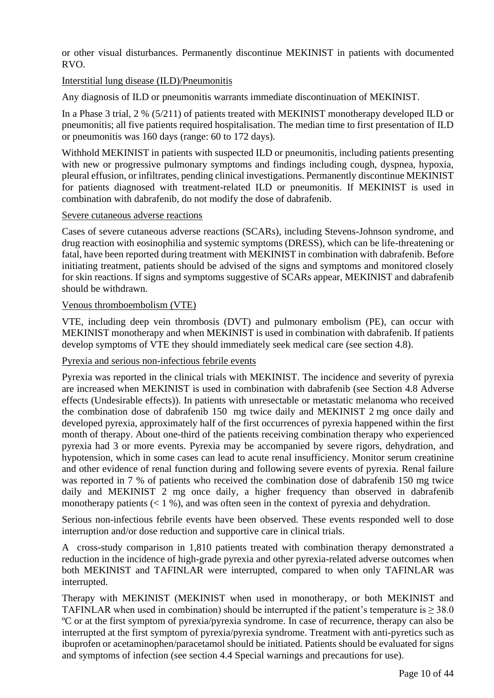or other visual disturbances. Permanently discontinue MEKINIST in patients with documented RVO.

### Interstitial lung disease (ILD)/Pneumonitis

Any diagnosis of ILD or pneumonitis warrants immediate discontinuation of MEKINIST.

In a Phase 3 trial, 2 % (5/211) of patients treated with MEKINIST monotherapy developed ILD or pneumonitis; all five patients required hospitalisation. The median time to first presentation of ILD or pneumonitis was 160 days (range: 60 to 172 days).

Withhold MEKINIST in patients with suspected ILD or pneumonitis, including patients presenting with new or progressive pulmonary symptoms and findings including cough, dyspnea, hypoxia, pleural effusion, or infiltrates, pending clinical investigations. Permanently discontinue MEKINIST for patients diagnosed with treatment-related ILD or pneumonitis. If MEKINIST is used in combination with dabrafenib, do not modify the dose of dabrafenib.

#### Severe cutaneous adverse reactions

Cases of severe cutaneous adverse reactions (SCARs), including Stevens-Johnson syndrome, and drug reaction with eosinophilia and systemic symptoms (DRESS), which can be life-threatening or fatal, have been reported during treatment with MEKINIST in combination with dabrafenib. Before initiating treatment, patients should be advised of the signs and symptoms and monitored closely for skin reactions. If signs and symptoms suggestive of SCARs appear, MEKINIST and dabrafenib should be withdrawn.

#### Venous thromboembolism (VTE)

VTE, including deep vein thrombosis (DVT) and pulmonary embolism (PE), can occur with MEKINIST monotherapy and when MEKINIST is used in combination with dabrafenib. If patients develop symptoms of VTE they should immediately seek medical care (see section 4.8).

#### Pyrexia and serious non-infectious febrile events

Pyrexia was reported in the clinical trials with MEKINIST. The incidence and severity of pyrexia are increased when MEKINIST is used in combination with dabrafenib (see Section 4.8 Adverse effects (Undesirable effects)). In patients with unresectable or metastatic melanoma who received the combination dose of dabrafenib 150 mg twice daily and MEKINIST 2 mg once daily and developed pyrexia, approximately half of the first occurrences of pyrexia happened within the first month of therapy. About one-third of the patients receiving combination therapy who experienced pyrexia had 3 or more events. Pyrexia may be accompanied by severe rigors, dehydration, and hypotension, which in some cases can lead to acute renal insufficiency. Monitor serum creatinine and other evidence of renal function during and following severe events of pyrexia. Renal failure was reported in 7 % of patients who received the combination dose of dabrafenib 150 mg twice daily and MEKINIST 2 mg once daily, a higher frequency than observed in dabrafenib monotherapy patients  $(< 1 %)$ , and was often seen in the context of pyrexia and dehydration.

Serious non-infectious febrile events have been observed. These events responded well to dose interruption and/or dose reduction and supportive care in clinical trials.

A cross-study comparison in 1,810 patients treated with combination therapy demonstrated a reduction in the incidence of high-grade pyrexia and other pyrexia-related adverse outcomes when both MEKINIST and TAFINLAR were interrupted, compared to when only TAFINLAR was interrupted.

Therapy with MEKINIST (MEKINIST when used in monotherapy, or both MEKINIST and TAFINLAR when used in combination) should be interrupted if the patient's temperature is  $\geq$  38.0 ºC or at the first symptom of pyrexia/pyrexia syndrome. In case of recurrence, therapy can also be interrupted at the first symptom of pyrexia/pyrexia syndrome. Treatment with anti-pyretics such as ibuprofen or acetaminophen/paracetamol should be initiated. Patients should be evaluated for signs and symptoms of infection (see section 4.4 Special warnings and precautions for use).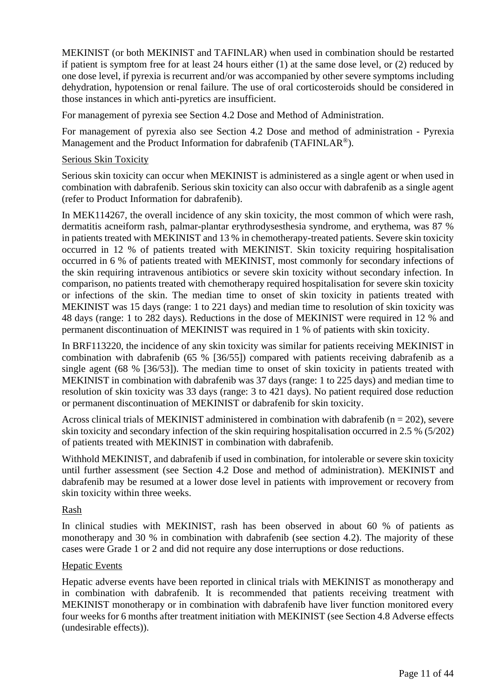MEKINIST (or both MEKINIST and TAFINLAR) when used in combination should be restarted if patient is symptom free for at least 24 hours either (1) at the same dose level, or (2) reduced by one dose level, if pyrexia is recurrent and/or was accompanied by other severe symptoms including dehydration, hypotension or renal failure. The use of oral corticosteroids should be considered in those instances in which anti-pyretics are insufficient.

For management of pyrexia see Section 4.2 Dose and Method of Administration.

For management of pyrexia also see Section 4.2 Dose and method of administration - Pyrexia Management and the Product Information for dabrafenib (TAFINLAR<sup>®</sup>).

#### Serious Skin Toxicity

Serious skin toxicity can occur when MEKINIST is administered as a single agent or when used in combination with dabrafenib. Serious skin toxicity can also occur with dabrafenib as a single agent (refer to Product Information for dabrafenib).

In MEK114267, the overall incidence of any skin toxicity, the most common of which were rash, dermatitis acneiform rash, palmar-plantar erythrodysesthesia syndrome, and erythema, was 87 % in patients treated with MEKINIST and 13 % in chemotherapy-treated patients. Severe skin toxicity occurred in 12 % of patients treated with MEKINIST. Skin toxicity requiring hospitalisation occurred in 6 % of patients treated with MEKINIST, most commonly for secondary infections of the skin requiring intravenous antibiotics or severe skin toxicity without secondary infection. In comparison, no patients treated with chemotherapy required hospitalisation for severe skin toxicity or infections of the skin. The median time to onset of skin toxicity in patients treated with MEKINIST was 15 days (range: 1 to 221 days) and median time to resolution of skin toxicity was 48 days (range: 1 to 282 days). Reductions in the dose of MEKINIST were required in 12 % and permanent discontinuation of MEKINIST was required in 1 % of patients with skin toxicity.

In BRF113220, the incidence of any skin toxicity was similar for patients receiving MEKINIST in combination with dabrafenib (65 % [36/55]) compared with patients receiving dabrafenib as a single agent (68 % [36/53]). The median time to onset of skin toxicity in patients treated with MEKINIST in combination with dabrafenib was 37 days (range: 1 to 225 days) and median time to resolution of skin toxicity was 33 days (range: 3 to 421 days). No patient required dose reduction or permanent discontinuation of MEKINIST or dabrafenib for skin toxicity.

Across clinical trials of MEKINIST administered in combination with dabrafenib ( $n = 202$ ), severe skin toxicity and secondary infection of the skin requiring hospitalisation occurred in 2.5 % (5/202) of patients treated with MEKINIST in combination with dabrafenib.

Withhold MEKINIST, and dabrafenib if used in combination, for intolerable or severe skin toxicity until further assessment (see Section 4.2 Dose and method of administration). MEKINIST and dabrafenib may be resumed at a lower dose level in patients with improvement or recovery from skin toxicity within three weeks.

#### Rash

In clinical studies with MEKINIST, rash has been observed in about 60 % of patients as monotherapy and 30 % in combination with dabrafenib (see section 4.2). The majority of these cases were Grade 1 or 2 and did not require any dose interruptions or dose reductions.

#### Hepatic Events

Hepatic adverse events have been reported in clinical trials with MEKINIST as monotherapy and in combination with dabrafenib. It is recommended that patients receiving treatment with MEKINIST monotherapy or in combination with dabrafenib have liver function monitored every four weeks for 6 months after treatment initiation with MEKINIST (see Section 4.8 Adverse effects (undesirable effects)).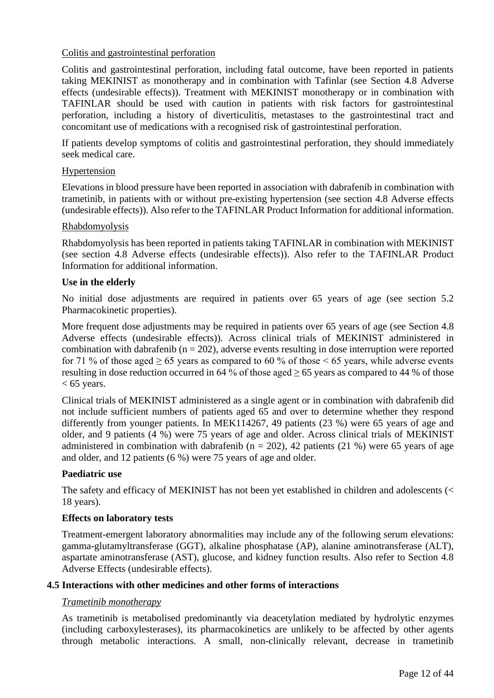### Colitis and gastrointestinal perforation

Colitis and gastrointestinal perforation, including fatal outcome, have been reported in patients taking MEKINIST as monotherapy and in combination with Tafinlar (see Section 4.8 Adverse effects (undesirable effects)). Treatment with MEKINIST monotherapy or in combination with TAFINLAR should be used with caution in patients with risk factors for gastrointestinal perforation, including a history of diverticulitis, metastases to the gastrointestinal tract and concomitant use of medications with a recognised risk of gastrointestinal perforation.

If patients develop symptoms of colitis and gastrointestinal perforation, they should immediately seek medical care.

#### Hypertension

Elevations in blood pressure have been reported in association with dabrafenib in combination with trametinib, in patients with or without pre-existing hypertension (see section 4.8 Adverse effects (undesirable effects)). Also refer to the TAFINLAR Product Information for additional information.

#### Rhabdomyolysis

Rhabdomyolysis has been reported in patients taking TAFINLAR in combination with MEKINIST (see section 4.8 Adverse effects (undesirable effects)). Also refer to the TAFINLAR Product Information for additional information.

#### **Use in the elderly**

No initial dose adjustments are required in patients over 65 years of age (see section 5.2 Pharmacokinetic properties).

More frequent dose adjustments may be required in patients over 65 years of age (see Section 4.8 Adverse effects (undesirable effects)). Across clinical trials of MEKINIST administered in combination with dabrafenib ( $n = 202$ ), adverse events resulting in dose interruption were reported for 71 % of those aged  $\geq 65$  years as compared to 60 % of those  $\leq 65$  years, while adverse events resulting in dose reduction occurred in 64 % of those aged  $\geq$  65 years as compared to 44 % of those  $< 65$  years.

Clinical trials of MEKINIST administered as a single agent or in combination with dabrafenib did not include sufficient numbers of patients aged 65 and over to determine whether they respond differently from younger patients. In MEK114267, 49 patients (23 %) were 65 years of age and older, and 9 patients (4 %) were 75 years of age and older. Across clinical trials of MEKINIST administered in combination with dabrafenib ( $n = 202$ ), 42 patients (21 %) were 65 years of age and older, and 12 patients (6 %) were 75 years of age and older.

#### **Paediatric use**

The safety and efficacy of MEKINIST has not been yet established in children and adolescents (< 18 years).

#### **Effects on laboratory tests**

Treatment-emergent laboratory abnormalities may include any of the following serum elevations: gamma-glutamyltransferase (GGT), alkaline phosphatase (AP), alanine aminotransferase (ALT), aspartate aminotransferase (AST), glucose, and kidney function results. Also refer to Section 4.8 Adverse Effects (undesirable effects).

#### **4.5 Interactions with other medicines and other forms of interactions**

#### *Trametinib monotherapy*

As trametinib is metabolised predominantly via deacetylation mediated by hydrolytic enzymes (including carboxylesterases), its pharmacokinetics are unlikely to be affected by other agents through metabolic interactions. A small, non-clinically relevant, decrease in trametinib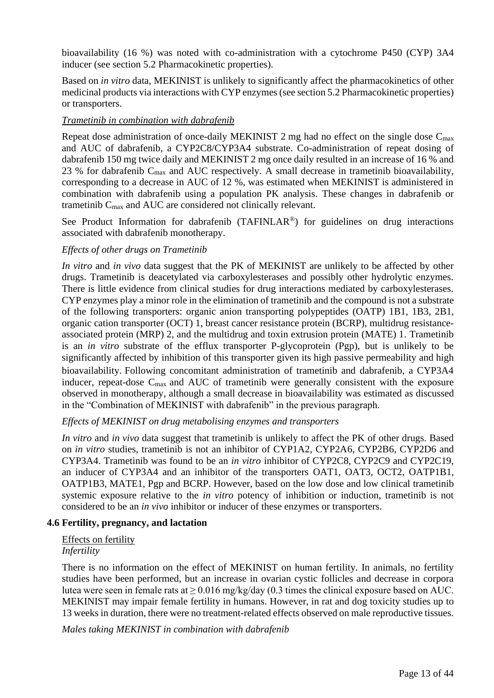bioavailability (16 %) was noted with co-administration with a cytochrome P450 (CYP) 3A4 inducer (see section 5.2 Pharmacokinetic properties).

Based on *in vitro* data, MEKINIST is unlikely to significantly affect the pharmacokinetics of other medicinal products via interactions with CYP enzymes (see section 5.2 Pharmacokinetic properties) or transporters.

### *Trametinib in combination with dabrafenib*

Repeat dose administration of once-daily MEKINIST 2 mg had no effect on the single dose C<sub>max</sub> and AUC of dabrafenib, a CYP2C8/CYP3A4 substrate. Co-administration of repeat dosing of dabrafenib 150 mg twice daily and MEKINIST 2 mg once daily resulted in an increase of 16 % and 23 % for dabrafenib  $C_{\text{max}}$  and AUC respectively. A small decrease in trametinib bioavailability, corresponding to a decrease in AUC of 12 %, was estimated when MEKINIST is administered in combination with dabrafenib using a population PK analysis. These changes in dabrafenib or trametinib C<sub>max</sub> and AUC are considered not clinically relevant.

See Product Information for dabrafenib  $(TAFINLAR<sup>®</sup>)$  for guidelines on drug interactions associated with dabrafenib monotherapy.

#### *Effects of other drugs on Trametinib*

*In vitro* and *in vivo* data suggest that the PK of MEKINIST are unlikely to be affected by other drugs. Trametinib is deacetylated via carboxylesterases and possibly other hydrolytic enzymes. There is little evidence from clinical studies for drug interactions mediated by carboxylesterases. CYP enzymes play a minor role in the elimination of trametinib and the compound is not a substrate of the following transporters: organic anion transporting polypeptides (OATP) 1B1, 1B3, 2B1, organic cation transporter (OCT) 1, breast cancer resistance protein (BCRP), multidrug resistanceassociated protein (MRP) 2, and the multidrug and toxin extrusion protein (MATE) 1. Trametinib is an *in vitro* substrate of the efflux transporter P-glycoprotein (Pgp), but is unlikely to be significantly affected by inhibition of this transporter given its high passive permeability and high bioavailability. Following concomitant administration of trametinib and dabrafenib, a CYP3A4 inducer, repeat-dose  $C_{\text{max}}$  and AUC of trametinib were generally consistent with the exposure observed in monotherapy, although a small decrease in bioavailability was estimated as discussed in the "Combination of MEKINIST with dabrafenib" in the previous paragraph.

#### *Effects of MEKINIST on drug metabolising enzymes and transporters*

*In vitro* and *in vivo* data suggest that trametinib is unlikely to affect the PK of other drugs. Based on *in vitro* studies, trametinib is not an inhibitor of CYP1A2, CYP2A6, CYP2B6, CYP2D6 and CYP3A4. Trametinib was found to be an *in vitro* inhibitor of CYP2C8, CYP2C9 and CYP2C19, an inducer of CYP3A4 and an inhibitor of the transporters OAT1, OAT3, OCT2, OATP1B1, OATP1B3, MATE1, Pgp and BCRP. However, based on the low dose and low clinical trametinib systemic exposure relative to the *in vitro* potency of inhibition or induction, trametinib is not considered to be an *in vivo* inhibitor or inducer of these enzymes or transporters.

#### **4.6 Fertility, pregnancy, and lactation**

#### Effects on fertility *Infertility*

There is no information on the effect of MEKINIST on human fertility. In animals, no fertility studies have been performed, but an increase in ovarian cystic follicles and decrease in corpora lutea were seen in female rats at  $\geq 0.016$  mg/kg/day (0.3 times the clinical exposure based on AUC. MEKINIST may impair female fertility in humans. However, in rat and dog toxicity studies up to 13 weeks in duration, there were no treatment-related effects observed on male reproductive tissues.

*Males taking MEKINIST in combination with dabrafenib*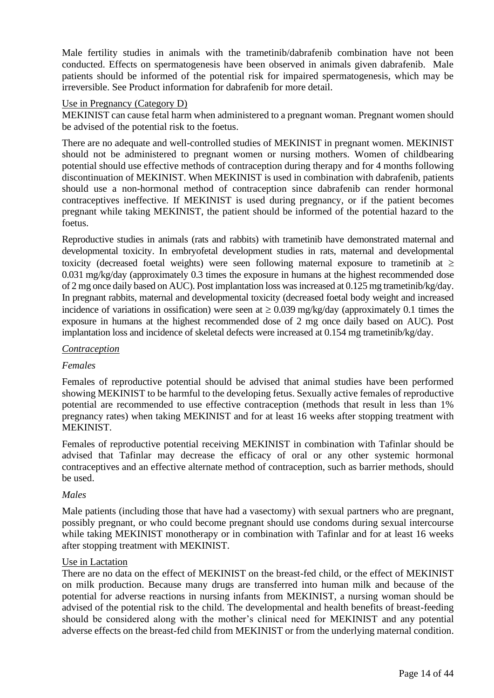Male fertility studies in animals with the trametinib/dabrafenib combination have not been conducted. Effects on spermatogenesis have been observed in animals given dabrafenib. Male patients should be informed of the potential risk for impaired spermatogenesis, which may be irreversible. See Product information for dabrafenib for more detail.

#### Use in Pregnancy (Category D)

MEKINIST can cause fetal harm when administered to a pregnant woman. Pregnant women should be advised of the potential risk to the foetus.

There are no adequate and well-controlled studies of MEKINIST in pregnant women. MEKINIST should not be administered to pregnant women or nursing mothers. Women of childbearing potential should use effective methods of contraception during therapy and for 4 months following discontinuation of MEKINIST. When MEKINIST is used in combination with dabrafenib, patients should use a non-hormonal method of contraception since dabrafenib can render hormonal contraceptives ineffective. If MEKINIST is used during pregnancy, or if the patient becomes pregnant while taking MEKINIST, the patient should be informed of the potential hazard to the foetus.

Reproductive studies in animals (rats and rabbits) with trametinib have demonstrated maternal and developmental toxicity. In embryofetal development studies in rats, maternal and developmental toxicity (decreased foetal weights) were seen following maternal exposure to trametinib at  $\geq$ 0.031 mg/kg/day (approximately 0.3 times the exposure in humans at the highest recommended dose of 2 mg once daily based on AUC). Post implantation loss was increased at 0.125 mg trametinib/kg/day. In pregnant rabbits, maternal and developmental toxicity (decreased foetal body weight and increased incidence of variations in ossification) were seen at  $\geq 0.039$  mg/kg/day (approximately 0.1 times the exposure in humans at the highest recommended dose of 2 mg once daily based on AUC). Post implantation loss and incidence of skeletal defects were increased at 0.154 mg trametinib/kg/day.

#### *Contraception*

#### *Females*

Females of reproductive potential should be advised that animal studies have been performed showing MEKINIST to be harmful to the developing fetus. Sexually active females of reproductive potential are recommended to use effective contraception (methods that result in less than 1% pregnancy rates) when taking MEKINIST and for at least 16 weeks after stopping treatment with MEKINIST.

Females of reproductive potential receiving MEKINIST in combination with Tafinlar should be advised that Tafinlar may decrease the efficacy of oral or any other systemic hormonal contraceptives and an effective alternate method of contraception, such as barrier methods, should be used.

#### *Males*

Male patients (including those that have had a vasectomy) with sexual partners who are pregnant, possibly pregnant, or who could become pregnant should use condoms during sexual intercourse while taking MEKINIST monotherapy or in combination with Tafinlar and for at least 16 weeks after stopping treatment with MEKINIST.

#### Use in Lactation

There are no data on the effect of MEKINIST on the breast-fed child, or the effect of MEKINIST on milk production. Because many drugs are transferred into human milk and because of the potential for adverse reactions in nursing infants from MEKINIST, a nursing woman should be advised of the potential risk to the child. The developmental and health benefits of breast-feeding should be considered along with the mother's clinical need for MEKINIST and any potential adverse effects on the breast-fed child from MEKINIST or from the underlying maternal condition.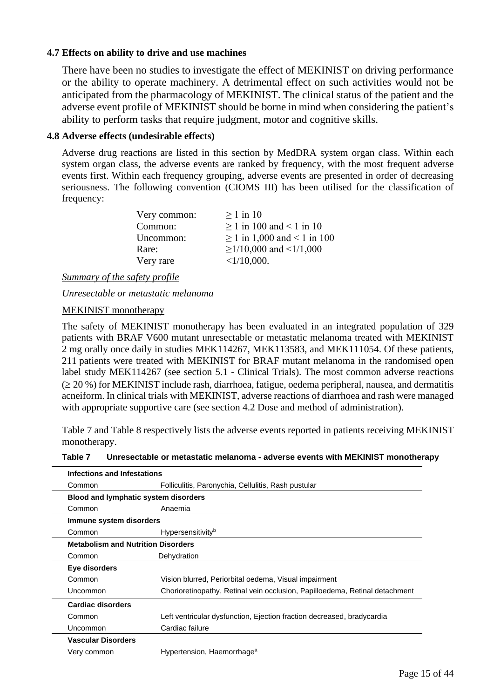### **4.7 Effects on ability to drive and use machines**

There have been no studies to investigate the effect of MEKINIST on driving performance or the ability to operate machinery. A detrimental effect on such activities would not be anticipated from the pharmacology of MEKINIST. The clinical status of the patient and the adverse event profile of MEKINIST should be borne in mind when considering the patient's ability to perform tasks that require judgment, motor and cognitive skills.

#### **4.8 Adverse effects (undesirable effects)**

Adverse drug reactions are listed in this section by MedDRA system organ class. Within each system organ class, the adverse events are ranked by frequency, with the most frequent adverse events first. Within each frequency grouping, adverse events are presented in order of decreasing seriousness. The following convention (CIOMS III) has been utilised for the classification of frequency:

| Very common: | $>1$ in 10                       |
|--------------|----------------------------------|
| Common:      | $> 1$ in 100 and < 1 in 10       |
| Uncommon:    | $\geq$ 1 in 1,000 and < 1 in 100 |
| Rare:        | $\geq$ 1/10,000 and <1/1,000     |
| Very rare    | $<1/10,000$ .                    |

*Summary of the safety profile*

*Unresectable or metastatic melanoma*

#### MEKINIST monotherapy

The safety of MEKINIST monotherapy has been evaluated in an integrated population of 329 patients with BRAF V600 mutant unresectable or metastatic melanoma treated with MEKINIST 2 mg orally once daily in studies MEK114267, MEK113583, and MEK111054. Of these patients, 211 patients were treated with MEKINIST for BRAF mutant melanoma in the randomised open label study MEK114267 (see section 5.1 - Clinical Trials). The most common adverse reactions  $( \geq 20 \%)$  for MEKINIST include rash, diarrhoea, fatigue, oedema peripheral, nausea, and dermatitis acneiform. In clinical trials with MEKINIST, adverse reactions of diarrhoea and rash were managed with appropriate supportive care (see section 4.2 Dose and method of administration).

Table 7 and Table 8 respectively lists the adverse events reported in patients receiving MEKINIST monotherapy.

| Table 7 | Unresectable or metastatic melanoma - adverse events with MEKINIST monotherapy |  |  |
|---------|--------------------------------------------------------------------------------|--|--|
|---------|--------------------------------------------------------------------------------|--|--|

| Infections and Infestations               |                                                                             |  |
|-------------------------------------------|-----------------------------------------------------------------------------|--|
| Common                                    | Folliculitis, Paronychia, Cellulitis, Rash pustular                         |  |
| Blood and lymphatic system disorders      |                                                                             |  |
| Common                                    | Anaemia                                                                     |  |
| Immune system disorders                   |                                                                             |  |
| Common                                    | Hypersensitivity <sup>b</sup>                                               |  |
| <b>Metabolism and Nutrition Disorders</b> |                                                                             |  |
| Common                                    | Dehydration                                                                 |  |
| Eye disorders                             |                                                                             |  |
| Common                                    | Vision blurred, Periorbital oedema, Visual impairment                       |  |
| Uncommon                                  | Chorioretinopathy, Retinal vein occlusion, Papilloedema, Retinal detachment |  |
| <b>Cardiac disorders</b>                  |                                                                             |  |
| Common                                    | Left ventricular dysfunction, Ejection fraction decreased, bradycardia      |  |
| Uncommon                                  | Cardiac failure                                                             |  |
| <b>Vascular Disorders</b>                 |                                                                             |  |
| Very common                               | Hypertension, Haemorrhage <sup>a</sup>                                      |  |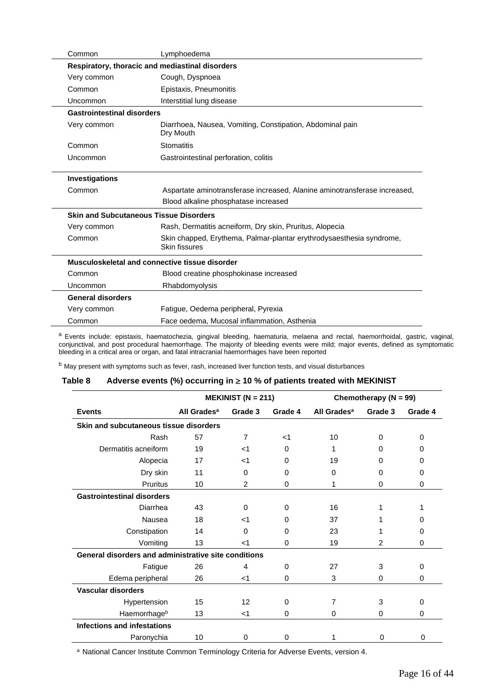| Common                            | Lymphoedema                                                                           |
|-----------------------------------|---------------------------------------------------------------------------------------|
|                                   | Respiratory, thoracic and mediastinal disorders                                       |
| Very common                       | Cough, Dyspnoea                                                                       |
| Common                            | Epistaxis, Pneumonitis                                                                |
| Uncommon                          | Interstitial lung disease                                                             |
| <b>Gastrointestinal disorders</b> |                                                                                       |
| Very common                       | Diarrhoea, Nausea, Vomiting, Constipation, Abdominal pain<br>Dry Mouth                |
| Common                            | <b>Stomatitis</b>                                                                     |
| Uncommon                          | Gastrointestinal perforation, colitis                                                 |
| Investigations                    |                                                                                       |
| Common                            | Aspartate aminotransferase increased, Alanine aminotransferase increased,             |
|                                   | Blood alkaline phosphatase increased                                                  |
|                                   | <b>Skin and Subcutaneous Tissue Disorders</b>                                         |
| Very common                       | Rash, Dermatitis acneiform, Dry skin, Pruritus, Alopecia                              |
| Common                            | Skin chapped, Erythema, Palmar-plantar erythrodysaesthesia syndrome,<br>Skin fissures |
|                                   | Musculoskeletal and connective tissue disorder                                        |
| Common                            | Blood creatine phosphokinase increased                                                |
| Uncommon                          | Rhabdomyolysis                                                                        |
| <b>General disorders</b>          |                                                                                       |
| Very common                       | Fatigue, Oedema peripheral, Pyrexia                                                   |
| Common                            | Face oedema, Mucosal inflammation, Asthenia                                           |

a Events include: epistaxis, haematochezia, gingival bleeding, haematuria, melaena and rectal, haemorrhoidal, gastric, vaginal, conjunctival, and post procedural haemorrhage. The majority of bleeding events were mild; major events, defined as symptomatic bleeding in a critical area or organ, and fatal intracranial haemorrhages have been reported

b May present with symptoms such as fever, rash, increased liver function tests, and visual disturbances

#### **Table 8 Adverse events (%) occurring in 10 % of patients treated with MEKINIST**

|                                                      |                         | <b>MEKINIST (N = 211)</b> |          |                         | Chemotherapy ( $N = 99$ ) |          |
|------------------------------------------------------|-------------------------|---------------------------|----------|-------------------------|---------------------------|----------|
| <b>Events</b>                                        | All Grades <sup>a</sup> | Grade 3                   | Grade 4  | All Grades <sup>a</sup> | Grade 3                   | Grade 4  |
| Skin and subcutaneous tissue disorders               |                         |                           |          |                         |                           |          |
| Rash                                                 | 57                      | $\overline{7}$            | $<$ 1    | 10                      | $\Omega$                  | $\Omega$ |
| Dermatitis acneiform                                 | 19                      | $<$ 1                     | $\Omega$ | 1                       | 0                         | 0        |
| Alopecia                                             | 17                      | $<$ 1                     | $\Omega$ | 19                      | 0                         | 0        |
| Dry skin                                             | 11                      | $\Omega$                  | $\Omega$ | $\Omega$                | 0                         | 0        |
| <b>Pruritus</b>                                      | 10                      | $\overline{2}$            | $\Omega$ | 1                       | 0                         | 0        |
| <b>Gastrointestinal disorders</b>                    |                         |                           |          |                         |                           |          |
| Diarrhea                                             | 43                      | 0                         | $\Omega$ | 16                      |                           |          |
| Nausea                                               | 18                      | $<$ 1                     | 0        | 37                      |                           | 0        |
| Constipation                                         | 14                      | $\Omega$                  | $\Omega$ | 23                      |                           | 0        |
| Vomiting                                             | 13                      | $<$ 1                     | $\Omega$ | 19                      | 2                         | 0        |
| General disorders and administrative site conditions |                         |                           |          |                         |                           |          |
| Fatigue                                              | 26                      | 4                         | $\Omega$ | 27                      | 3                         | 0        |
| Edema peripheral                                     | 26                      | $<$ 1                     | $\Omega$ | 3                       | 0                         | 0        |
| <b>Vascular disorders</b>                            |                         |                           |          |                         |                           |          |
| Hypertension                                         | 15                      | 12                        | 0        | 7                       | 3                         | 0        |
| Haemorrhageb                                         | 13                      | $<$ 1                     | $\Omega$ | 0                       | 0                         | 0        |
| <b>Infections and infestations</b>                   |                         |                           |          |                         |                           |          |
| Paronychia                                           | 10                      | 0                         | 0        |                         | 0                         | 0        |

a National Cancer Institute Common Terminology Criteria for Adverse Events, version 4.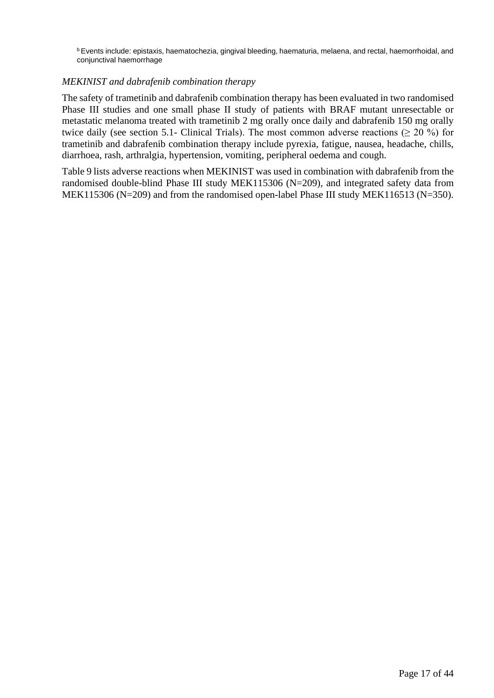<sup>b</sup>Events include: epistaxis, haematochezia, gingival bleeding, haematuria, melaena, and rectal, haemorrhoidal, and conjunctival haemorrhage

#### *MEKINIST and dabrafenib combination therapy*

The safety of trametinib and dabrafenib combination therapy has been evaluated in two randomised Phase III studies and one small phase II study of patients with BRAF mutant unresectable or metastatic melanoma treated with trametinib 2 mg orally once daily and dabrafenib 150 mg orally twice daily (see section 5.1- Clinical Trials). The most common adverse reactions ( $\geq 20\%$ ) for trametinib and dabrafenib combination therapy include pyrexia, fatigue, nausea, headache, chills, diarrhoea, rash, arthralgia, hypertension, vomiting, peripheral oedema and cough.

Table 9 lists adverse reactions when MEKINIST was used in combination with dabrafenib from the randomised double-blind Phase III study MEK115306 (N=209), and integrated safety data from MEK115306 (N=209) and from the randomised open-label Phase III study MEK116513 (N=350).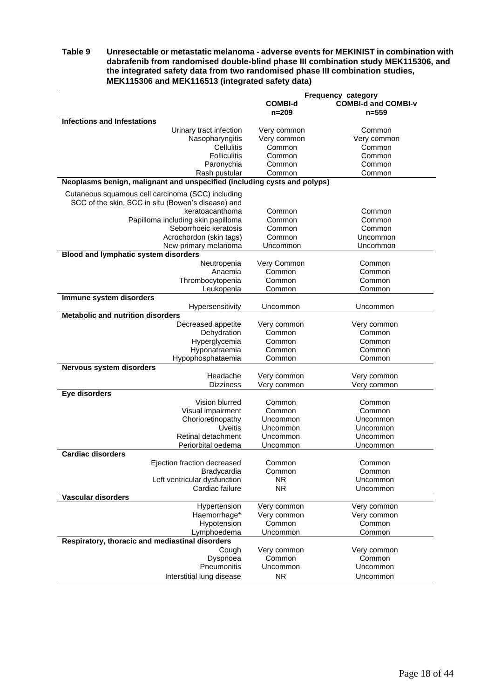#### **Table 9 Unresectable or metastatic melanoma - adverse events for MEKINIST in combination with dabrafenib from randomised double-blind phase III combination study MEK115306, and the integrated safety data from two randomised phase III combination studies, MEK115306 and MEK116513 (integrated safety data)**

|                                                                          | Frequency category    |                            |  |  |
|--------------------------------------------------------------------------|-----------------------|----------------------------|--|--|
|                                                                          | <b>COMBI-d</b>        | <b>COMBI-d and COMBI-v</b> |  |  |
|                                                                          | $n = 209$             | $n = 559$                  |  |  |
| <b>Infections and Infestations</b>                                       |                       |                            |  |  |
| Urinary tract infection                                                  | Very common           | Common                     |  |  |
| Nasopharyngitis                                                          | Very common           | Very common                |  |  |
| Cellulitis                                                               | Common                | Common                     |  |  |
| <b>Folliculitis</b>                                                      | Common                | Common                     |  |  |
| Paronychia                                                               | Common                | Common                     |  |  |
| Rash pustular                                                            | Common                | Common                     |  |  |
| Neoplasms benign, malignant and unspecified (including cysts and polyps) |                       |                            |  |  |
|                                                                          |                       |                            |  |  |
| Cutaneous squamous cell carcinoma (SCC) including                        |                       |                            |  |  |
| SCC of the skin, SCC in situ (Bowen's disease) and                       |                       |                            |  |  |
| keratoacanthoma                                                          | Common                | Common                     |  |  |
| Papilloma including skin papilloma                                       | Common                | Common                     |  |  |
| Seborrhoeic keratosis                                                    | Common                | Common                     |  |  |
| Acrochordon (skin tags)                                                  | Common                | Uncommon                   |  |  |
| New primary melanoma                                                     | Uncommon              | Uncommon                   |  |  |
| <b>Blood and lymphatic system disorders</b>                              |                       |                            |  |  |
| Neutropenia                                                              | Very Common           | Common                     |  |  |
| Anaemia                                                                  | Common                | Common                     |  |  |
| Thrombocytopenia                                                         | Common                | Common                     |  |  |
| Leukopenia                                                               | Common                | Common                     |  |  |
| Immune system disorders                                                  |                       |                            |  |  |
| Hypersensitivity                                                         | Uncommon              | Uncommon                   |  |  |
| <b>Metabolic and nutrition disorders</b>                                 |                       |                            |  |  |
| Decreased appetite                                                       | Very common           | Very common                |  |  |
| Dehydration                                                              | Common                | Common                     |  |  |
| Hyperglycemia                                                            | Common                | Common                     |  |  |
| Hyponatraemia                                                            | Common                | Common                     |  |  |
| Hypophosphataemia                                                        | Common                | Common                     |  |  |
| Nervous system disorders                                                 |                       |                            |  |  |
| Headache                                                                 | Very common           | Very common                |  |  |
| <b>Dizziness</b>                                                         | Very common           | Very common                |  |  |
| Eye disorders                                                            |                       |                            |  |  |
| Vision blurred                                                           | Common                | Common                     |  |  |
| Visual impairment                                                        | Common                | Common                     |  |  |
| Chorioretinopathy                                                        | Uncommon              | Uncommon                   |  |  |
| <b>Uveitis</b>                                                           | Uncommon              | Uncommon                   |  |  |
| Retinal detachment                                                       | Uncommon              | Uncommon                   |  |  |
| Periorbital oedema                                                       | Uncommon              | Uncommon                   |  |  |
| <b>Cardiac disorders</b>                                                 |                       |                            |  |  |
| Ejection fraction decreased                                              | Common                | Common                     |  |  |
| Bradycardia                                                              | Common                | Common                     |  |  |
| Left ventricular dysfunction                                             | <b>NR</b>             | Uncommon                   |  |  |
| Cardiac failure                                                          | <b>NR</b>             | Uncommon                   |  |  |
| Vascular disorders                                                       |                       |                            |  |  |
| Hypertension                                                             |                       |                            |  |  |
| Haemorrhage*                                                             | Very common           | Very common                |  |  |
| Hypotension                                                              | Very common<br>Common | Very common<br>Common      |  |  |
|                                                                          |                       |                            |  |  |
| Lymphoedema                                                              | Uncommon              | Common                     |  |  |
| Respiratory, thoracic and mediastinal disorders                          |                       |                            |  |  |
| Cough                                                                    | Very common           | Very common                |  |  |
| Dyspnoea                                                                 | Common                | Common                     |  |  |
| Pneumonitis                                                              | Uncommon              | Uncommon                   |  |  |
| Interstitial lung disease                                                | <b>NR</b>             | Uncommon                   |  |  |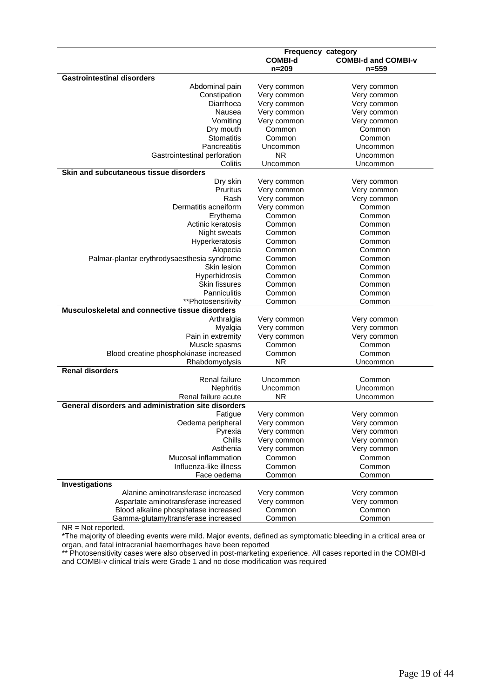|                                                     | <b>Frequency category</b> |                            |  |  |
|-----------------------------------------------------|---------------------------|----------------------------|--|--|
|                                                     | <b>COMBI-d</b>            | <b>COMBI-d and COMBI-v</b> |  |  |
|                                                     | $n = 209$                 | $n = 559$                  |  |  |
| <b>Gastrointestinal disorders</b>                   |                           |                            |  |  |
| Abdominal pain                                      | Very common               | Very common                |  |  |
| Constipation                                        | Very common               | Very common                |  |  |
| Diarrhoea                                           | Very common               | Very common                |  |  |
| Nausea                                              | Very common               | Very common                |  |  |
| Vomiting                                            | Very common               | Very common                |  |  |
| Dry mouth                                           | Common                    | Common                     |  |  |
| <b>Stomatitis</b>                                   | Common                    | Common                     |  |  |
| <b>Pancreatitis</b>                                 | Uncommon                  | Uncommon                   |  |  |
| Gastrointestinal perforation                        | <b>NR</b>                 | Uncommon                   |  |  |
| Colitis                                             | Uncommon                  | Uncommon                   |  |  |
| Skin and subcutaneous tissue disorders              |                           |                            |  |  |
| Dry skin                                            | Very common               | Very common                |  |  |
| Pruritus                                            | Very common               | Very common                |  |  |
| Rash                                                | Very common               | Very common                |  |  |
| Dermatitis acneiform                                | Very common               | Common                     |  |  |
| Erythema                                            | Common                    | Common                     |  |  |
| Actinic keratosis                                   | Common                    | Common                     |  |  |
|                                                     |                           |                            |  |  |
| Night sweats                                        | Common                    | Common                     |  |  |
| Hyperkeratosis                                      | Common                    | Common                     |  |  |
| Alopecia                                            | Common                    | Common                     |  |  |
| Palmar-plantar erythrodysaesthesia syndrome         | Common                    | Common                     |  |  |
| Skin lesion                                         | Common                    | Common                     |  |  |
| Hyperhidrosis                                       | Common                    | Common                     |  |  |
| <b>Skin fissures</b>                                | Common                    | Common                     |  |  |
| <b>Panniculitis</b>                                 | Common                    | Common                     |  |  |
| **Photosensitivity                                  | Common                    | Common                     |  |  |
| Musculoskeletal and connective tissue disorders     |                           |                            |  |  |
| Arthralgia                                          | Very common               | Very common                |  |  |
| Myalgia                                             | Very common               | Very common                |  |  |
| Pain in extremity                                   | Very common               | Very common                |  |  |
| Muscle spasms                                       | Common                    | Common                     |  |  |
| Blood creatine phosphokinase increased              | Common                    | Common                     |  |  |
| Rhabdomyolysis                                      | <b>NR</b>                 | Uncommon                   |  |  |
| <b>Renal disorders</b>                              |                           |                            |  |  |
| Renal failure                                       | Uncommon                  | Common                     |  |  |
| Nephritis                                           | Uncommon                  | Uncommon                   |  |  |
| Renal failure acute                                 | ΝR                        | Uncommon                   |  |  |
| General disorders and administration site disorders |                           |                            |  |  |
| Fatigue                                             | Very common               | Very common                |  |  |
| Oedema peripheral                                   |                           | Very common                |  |  |
| Pyrexia                                             | Very common               |                            |  |  |
| Chills                                              | Very common               | Very common                |  |  |
|                                                     | Very common               | Very common                |  |  |
| Asthenia                                            | Very common               | Very common                |  |  |
| Mucosal inflammation                                | Common                    | Common                     |  |  |
| Influenza-like illness                              | Common                    | Common                     |  |  |
| Face oedema                                         | Common                    | Common                     |  |  |
| Investigations                                      |                           |                            |  |  |
| Alanine aminotransferase increased                  | Very common               | Very common                |  |  |
| Aspartate aminotransferase increased                | Very common               | Very common                |  |  |
| Blood alkaline phosphatase increased                | Common                    | Common                     |  |  |
| Gamma-glutamyltransferase increased                 | Common                    | Common                     |  |  |

NR = Not reported.

\*The majority of bleeding events were mild. Major events, defined as symptomatic bleeding in a critical area or organ, and fatal intracranial haemorrhages have been reported

\*\* Photosensitivity cases were also observed in post-marketing experience. All cases reported in the COMBI-d and COMBI-v clinical trials were Grade 1 and no dose modification was required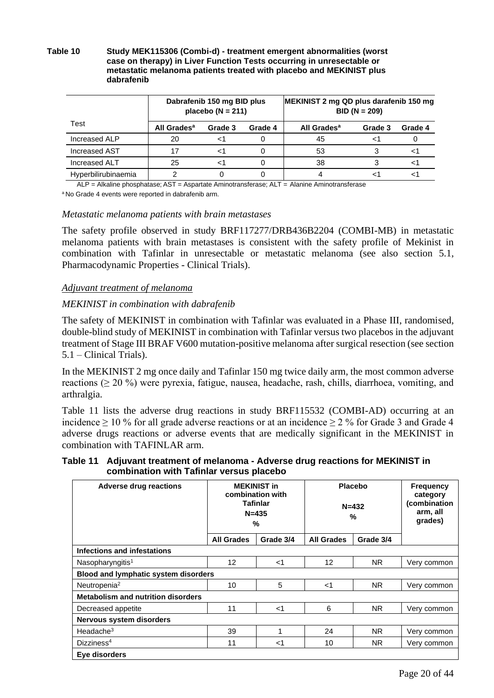#### **Table 10 Study MEK115306 (Combi-d) - treatment emergent abnormalities (worst case on therapy) in Liver Function Tests occurring in unresectable or metastatic melanoma patients treated with placebo and MEKINIST plus dabrafenib**

|                      | Dabrafenib 150 mg BID plus<br>placebo ( $N = 211$ ) |         |         | MEKINIST 2 mg QD plus darafenib 150 mg | $BID (N = 209)$ |         |
|----------------------|-----------------------------------------------------|---------|---------|----------------------------------------|-----------------|---------|
| Test                 | All Grades <sup>a</sup>                             | Grade 3 | Grade 4 | All Grades <sup>a</sup>                | Grade 3         | Grade 4 |
| Increased ALP        | 20                                                  |         |         | 45                                     |                 |         |
| <b>Increased AST</b> | 17                                                  |         |         | 53                                     |                 |         |
| <b>Increased ALT</b> | 25                                                  |         |         | 38                                     |                 |         |
| Hyperbilirubinaemia  |                                                     |         |         |                                        |                 |         |

ALP = Alkaline phosphatase; AST = Aspartate Aminotransferase; ALT = Alanine Aminotransferase

<sup>a</sup> No Grade 4 events were reported in dabrafenib arm.

#### *Metastatic melanoma patients with brain metastases*

The safety profile observed in study BRF117277/DRB436B2204 (COMBI-MB) in metastatic melanoma patients with brain metastases is consistent with the safety profile of Mekinist in combination with Tafinlar in unresectable or metastatic melanoma (see also section 5.1, Pharmacodynamic Properties - Clinical Trials).

#### *Adjuvant treatment of melanoma*

#### *MEKINIST in combination with dabrafenib*

The safety of MEKINIST in combination with Tafinlar was evaluated in a Phase III, randomised, double-blind study of MEKINIST in combination with Tafinlar versus two placebos in the adjuvant treatment of Stage III BRAF V600 mutation-positive melanoma after surgical resection (see section 5.1 – Clinical Trials).

In the MEKINIST 2 mg once daily and Tafinlar 150 mg twice daily arm, the most common adverse reactions ( $\geq$  20 %) were pyrexia, fatigue, nausea, headache, rash, chills, diarrhoea, vomiting, and arthralgia.

Table 11 lists the adverse drug reactions in study BRF115532 (COMBI-AD) occurring at an incidence  $\geq 10\%$  for all grade adverse reactions or at an incidence  $\geq 2\%$  for Grade 3 and Grade 4 adverse drugs reactions or adverse events that are medically significant in the MEKINIST in combination with TAFINLAR arm.

**Table 11 Adjuvant treatment of melanoma - Adverse drug reactions for MEKINIST in combination with Tafinlar versus placebo**

| <b>Adverse drug reactions</b>               | <b>MEKINIST in</b><br>combination with<br><b>Tafinlar</b><br>$N = 435$<br>% |           |                   | <b>Placebo</b><br>$N = 432$<br>% | <b>Frequency</b><br>category<br>(combination<br>arm, all<br>grades) |
|---------------------------------------------|-----------------------------------------------------------------------------|-----------|-------------------|----------------------------------|---------------------------------------------------------------------|
|                                             | <b>All Grades</b>                                                           | Grade 3/4 | <b>All Grades</b> | Grade 3/4                        |                                                                     |
| Infections and infestations                 |                                                                             |           |                   |                                  |                                                                     |
| Nasopharyngitis <sup>1</sup>                | 12                                                                          | $<$ 1     | 12                | NR.                              | Very common                                                         |
| <b>Blood and lymphatic system disorders</b> |                                                                             |           |                   |                                  |                                                                     |
| Neutropenia <sup>2</sup>                    | 10                                                                          | 5         | $<$ 1             | <b>NR</b>                        | Very common                                                         |
| <b>Metabolism and nutrition disorders</b>   |                                                                             |           |                   |                                  |                                                                     |
| Decreased appetite                          | 11                                                                          | $<$ 1     | 6                 | <b>NR</b>                        | Very common                                                         |
| <b>Nervous system disorders</b>             |                                                                             |           |                   |                                  |                                                                     |
| Headache $3$                                | 39                                                                          |           | 24                | NR.                              | Very common                                                         |
| Dizziness <sup>4</sup>                      | 11                                                                          | $<$ 1     | 10                | NR.                              | Very common                                                         |
| Eye disorders                               |                                                                             |           |                   |                                  |                                                                     |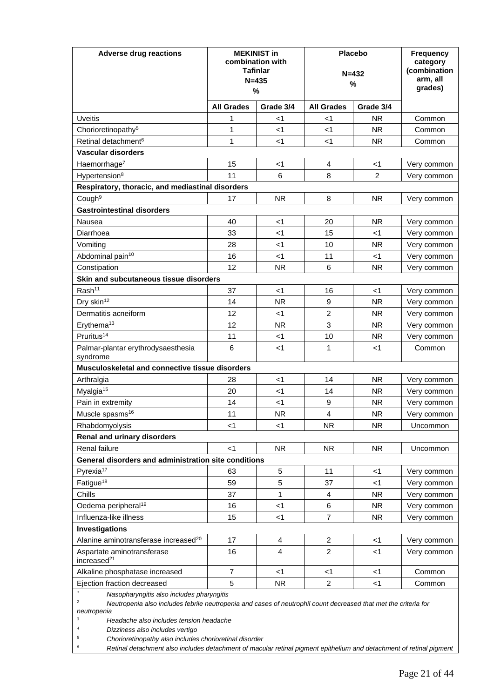| <b>Adverse drug reactions</b>                                                                                                                                                                                                                    | <b>MEKINIST in</b><br>combination with<br><b>Tafinlar</b><br>$N = 435$<br>% |                         | <b>Placebo</b><br>$N = 432$<br>% |                | <b>Frequency</b><br>category<br>(combination<br>arm, all<br>grades) |
|--------------------------------------------------------------------------------------------------------------------------------------------------------------------------------------------------------------------------------------------------|-----------------------------------------------------------------------------|-------------------------|----------------------------------|----------------|---------------------------------------------------------------------|
|                                                                                                                                                                                                                                                  | <b>All Grades</b>                                                           | Grade 3/4               | <b>All Grades</b>                | Grade 3/4      |                                                                     |
| Uveitis                                                                                                                                                                                                                                          | 1                                                                           | $<$ 1                   | ا>                               | <b>NR</b>      | Common                                                              |
| Chorioretinopathy <sup>5</sup>                                                                                                                                                                                                                   | 1                                                                           | $<$ 1                   | $<$ 1                            | NR.            | Common                                                              |
| Retinal detachment <sup>6</sup>                                                                                                                                                                                                                  | 1                                                                           | <1                      | <1                               | NR.            | Common                                                              |
| <b>Vascular disorders</b>                                                                                                                                                                                                                        |                                                                             |                         |                                  |                |                                                                     |
| Haemorrhage <sup>7</sup>                                                                                                                                                                                                                         | 15                                                                          | <1                      | 4                                | <1             | Very common                                                         |
| Hypertension <sup>8</sup>                                                                                                                                                                                                                        | 11                                                                          | 6                       | 8                                | $\overline{c}$ | Very common                                                         |
| Respiratory, thoracic, and mediastinal disorders                                                                                                                                                                                                 |                                                                             |                         |                                  |                |                                                                     |
| Cough <sup>9</sup>                                                                                                                                                                                                                               | 17                                                                          | <b>NR</b>               | 8                                | <b>NR</b>      | Very common                                                         |
| <b>Gastrointestinal disorders</b>                                                                                                                                                                                                                |                                                                             |                         |                                  |                |                                                                     |
| Nausea                                                                                                                                                                                                                                           | 40                                                                          | <1                      | 20                               | <b>NR</b>      | Very common                                                         |
| Diarrhoea                                                                                                                                                                                                                                        | 33                                                                          | <1                      | 15                               | <1             | Very common                                                         |
| Vomiting                                                                                                                                                                                                                                         | 28                                                                          | <1                      | 10                               | <b>NR</b>      | Very common                                                         |
| Abdominal pain <sup>10</sup>                                                                                                                                                                                                                     | 16                                                                          | $<$ 1                   | 11                               | $<$ 1          | Very common                                                         |
| Constipation                                                                                                                                                                                                                                     | 12                                                                          | <b>NR</b>               | 6                                | <b>NR</b>      | Very common                                                         |
| Skin and subcutaneous tissue disorders                                                                                                                                                                                                           |                                                                             |                         |                                  |                |                                                                     |
| Rash <sup>11</sup>                                                                                                                                                                                                                               | 37                                                                          | $<$ 1                   | 16                               | <1             | Very common                                                         |
| Dry skin <sup>12</sup>                                                                                                                                                                                                                           | 14                                                                          | <b>NR</b>               | 9                                | <b>NR</b>      | Very common                                                         |
| Dermatitis acneiform                                                                                                                                                                                                                             | 12                                                                          | <1                      | $\overline{c}$                   | NR.            | Very common                                                         |
| Erythema <sup>13</sup>                                                                                                                                                                                                                           | 12                                                                          | <b>NR</b>               | 3                                | <b>NR</b>      | Very common                                                         |
| Pruritus <sup>14</sup>                                                                                                                                                                                                                           | 11                                                                          | $<$ 1                   | 10                               | <b>NR</b>      | Very common                                                         |
| Palmar-plantar erythrodysaesthesia<br>syndrome                                                                                                                                                                                                   | 6                                                                           | <1                      | 1                                | <1             | Common                                                              |
| Musculoskeletal and connective tissue disorders                                                                                                                                                                                                  |                                                                             |                         |                                  |                |                                                                     |
| Arthralgia                                                                                                                                                                                                                                       | 28                                                                          | <1                      | 14                               | <b>NR</b>      | Very common                                                         |
| Myalgia <sup>15</sup>                                                                                                                                                                                                                            | 20                                                                          | <1                      | 14                               | <b>NR</b>      | Very common                                                         |
| Pain in extremity                                                                                                                                                                                                                                | 14                                                                          | <1                      | 9                                | <b>NR</b>      | Very common                                                         |
| Muscle spasms <sup>16</sup>                                                                                                                                                                                                                      | 11                                                                          | <b>NR</b>               | 4                                | <b>NR</b>      | Very common                                                         |
| Rhabdomyolysis                                                                                                                                                                                                                                   | $<$ 1                                                                       | $<$ 1                   | <b>NR</b>                        | <b>NR</b>      | Uncommon                                                            |
| <b>Renal and urinary disorders</b>                                                                                                                                                                                                               |                                                                             |                         |                                  |                |                                                                     |
| Renal failure                                                                                                                                                                                                                                    | $<$ 1                                                                       | <b>NR</b>               | <b>NR</b>                        | <b>NR</b>      | Uncommon                                                            |
| General disorders and administration site conditions                                                                                                                                                                                             |                                                                             |                         |                                  |                |                                                                     |
| Pyrexia <sup>17</sup>                                                                                                                                                                                                                            | 63                                                                          | 5                       | 11                               | $<$ 1          | Very common                                                         |
| Fatigue <sup>18</sup>                                                                                                                                                                                                                            | 59                                                                          | 5                       | 37                               | $<$ 1          | Very common                                                         |
| Chills                                                                                                                                                                                                                                           | 37                                                                          | 1                       | 4                                | <b>NR</b>      | Very common                                                         |
| Oedema peripheral <sup>19</sup>                                                                                                                                                                                                                  | 16                                                                          | $<$ 1                   | 6                                | <b>NR</b>      | Very common                                                         |
| Influenza-like illness                                                                                                                                                                                                                           | 15                                                                          | $<$ 1                   | 7                                | <b>NR</b>      | Very common                                                         |
| Investigations                                                                                                                                                                                                                                   |                                                                             |                         |                                  |                |                                                                     |
| Alanine aminotransferase increased <sup>20</sup>                                                                                                                                                                                                 | 17                                                                          | $\overline{\mathbf{4}}$ | $\overline{c}$                   | $<$ 1          | Very common                                                         |
| Aspartate aminotransferase<br>increased <sup>21</sup>                                                                                                                                                                                            | 16                                                                          | 4                       | $\overline{2}$                   | $<$ 1          | Very common                                                         |
| Alkaline phosphatase increased                                                                                                                                                                                                                   | $\overline{7}$                                                              | $<$ 1                   | $<$ 1                            | $<$ 1          | Common                                                              |
| Ejection fraction decreased                                                                                                                                                                                                                      | 5                                                                           | <b>NR</b>               | $\overline{c}$                   | $<$ 1          | Common                                                              |
| $\mathbf{1}$<br>Nasopharyngitis also includes pharyngitis<br>2<br>Neutropenia also includes febrile neutropenia and cases of neutrophil count decreased that met the criteria for<br>neutropenia<br>3<br>Headache also includes tension headache |                                                                             |                         |                                  |                |                                                                     |

*<sup>4</sup> Dizziness also includes vertigo*

*<sup>5</sup> Chorioretinopathy also includes chorioretinal disorder*

*<sup>6</sup> Retinal detachment also includes detachment of macular retinal pigment epithelium and detachment of retinal pigment*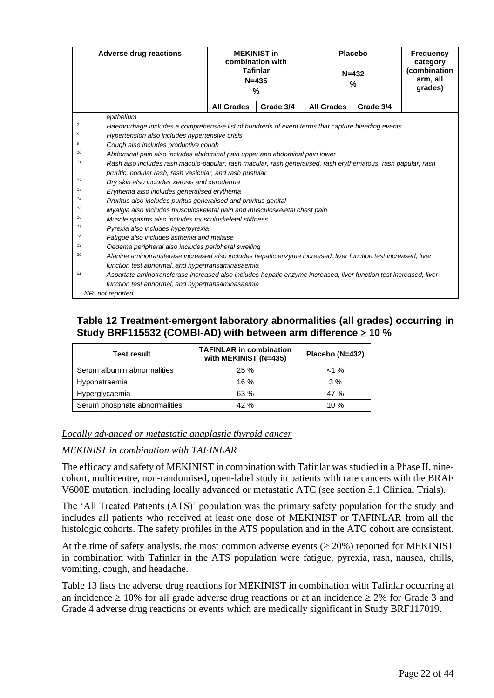|                | <b>Adverse drug reactions</b>                                                                                     | <b>MEKINIST in</b><br>combination with<br><b>Tafinlar</b><br>$N = 435$<br>% |           | <b>Placebo</b><br>$N = 432$<br>% |           | <b>Frequency</b><br>category<br>(combination<br>arm, all<br>grades) |
|----------------|-------------------------------------------------------------------------------------------------------------------|-----------------------------------------------------------------------------|-----------|----------------------------------|-----------|---------------------------------------------------------------------|
|                |                                                                                                                   | <b>All Grades</b>                                                           | Grade 3/4 | <b>All Grades</b>                | Grade 3/4 |                                                                     |
|                | epithelium                                                                                                        |                                                                             |           |                                  |           |                                                                     |
| $\overline{7}$ | Haemorrhage includes a comprehensive list of hundreds of event terms that capture bleeding events                 |                                                                             |           |                                  |           |                                                                     |
| 8              | Hypertension also includes hypertensive crisis                                                                    |                                                                             |           |                                  |           |                                                                     |
| 9              | Cough also includes productive cough                                                                              |                                                                             |           |                                  |           |                                                                     |
| 10             | Abdominal pain also includes abdominal pain upper and abdominal pain lower                                        |                                                                             |           |                                  |           |                                                                     |
| 11             | Rash also includes rash maculo-papular, rash macular, rash generalised, rash erythematous, rash papular, rash     |                                                                             |           |                                  |           |                                                                     |
|                | pruritic, nodular rash, rash vesicular, and rash pustular                                                         |                                                                             |           |                                  |           |                                                                     |
| 12             | Dry skin also includes xerosis and xeroderma                                                                      |                                                                             |           |                                  |           |                                                                     |
| 13             | Erythema also includes generalised erythema                                                                       |                                                                             |           |                                  |           |                                                                     |
| 14             | Pruritus also includes puritus generalised and pruritus genital                                                   |                                                                             |           |                                  |           |                                                                     |
| 15             | Myalgia also includes musculoskeletal pain and musculoskeletal chest pain                                         |                                                                             |           |                                  |           |                                                                     |
| 16             | Muscle spasms also includes musculoskeletal stiffness                                                             |                                                                             |           |                                  |           |                                                                     |
| 17             | Pyrexia also includes hyperpyrexia                                                                                |                                                                             |           |                                  |           |                                                                     |
| 18             | Fatique also includes asthenia and malaise                                                                        |                                                                             |           |                                  |           |                                                                     |
| 19             | Oedema peripheral also includes peripheral swelling                                                               |                                                                             |           |                                  |           |                                                                     |
| 20             | Alanine aminotransferase increased also includes hepatic enzyme increased, liver function test increased, liver   |                                                                             |           |                                  |           |                                                                     |
|                | function test abnormal, and hypertransaminasaemia                                                                 |                                                                             |           |                                  |           |                                                                     |
| 21             | Aspartate aminotransferase increased also includes hepatic enzyme increased, liver function test increased, liver |                                                                             |           |                                  |           |                                                                     |
|                | function test abnormal, and hypertransaminasaemia                                                                 |                                                                             |           |                                  |           |                                                                     |
|                | NR: not reported                                                                                                  |                                                                             |           |                                  |           |                                                                     |

### **Table 12 Treatment-emergent laboratory abnormalities (all grades) occurring in**  Study BRF115532 (COMBI-AD) with between arm difference  $\geq 10$  %

| <b>Test result</b>            | <b>TAFINLAR in combination</b><br>with MEKINIST (N=435) | Placebo (N=432) |
|-------------------------------|---------------------------------------------------------|-----------------|
| Serum albumin abnormalities   | 25%                                                     | $< 1 \%$        |
| Hyponatraemia                 | 16%                                                     | 3%              |
| Hyperglycaemia                | 63 %                                                    | 47 %            |
| Serum phosphate abnormalities | 42%                                                     | 10 $%$          |

### *Locally advanced or metastatic anaplastic thyroid cancer*

#### *MEKINIST in combination with TAFINLAR*

The efficacy and safety of MEKINIST in combination with Tafinlar was studied in a Phase II, ninecohort, multicentre, non-randomised, open-label study in patients with rare cancers with the BRAF V600E mutation, including locally advanced or metastatic ATC (see section 5.1 Clinical Trials).

The 'All Treated Patients (ATS)' population was the primary safety population for the study and includes all patients who received at least one dose of MEKINIST or TAFINLAR from all the histologic cohorts. The safety profiles in the ATS population and in the ATC cohort are consistent.

At the time of safety analysis, the most common adverse events  $(\geq 20\%)$  reported for MEKINIST in combination with Tafinlar in the ATS population were fatigue, pyrexia, rash, nausea, chills, vomiting, cough, and headache.

Table 13 lists the adverse drug reactions for MEKINIST in combination with Tafinlar occurring at an incidence  $\geq 10\%$  for all grade adverse drug reactions or at an incidence  $\geq 2\%$  for Grade 3 and Grade 4 adverse drug reactions or events which are medically significant in Study BRF117019.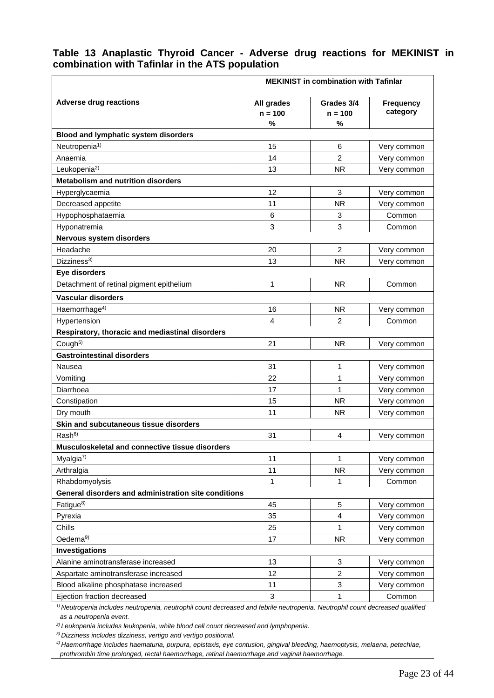### **Table 13 Anaplastic Thyroid Cancer - Adverse drug reactions for MEKINIST in combination with Tafinlar in the ATS population**

|                                                      | <b>MEKINIST in combination with Tafinlar</b> |                              |                              |  |  |
|------------------------------------------------------|----------------------------------------------|------------------------------|------------------------------|--|--|
| <b>Adverse drug reactions</b>                        | All grades<br>$n = 100$<br>%                 | Grades 3/4<br>$n = 100$<br>% | <b>Frequency</b><br>category |  |  |
| Blood and lymphatic system disorders                 |                                              |                              |                              |  |  |
| Neutropenia <sup>1)</sup>                            | 15                                           | 6                            | Very common                  |  |  |
| Anaemia                                              | 14                                           | $\overline{2}$               | Very common                  |  |  |
| Leukopenia <sup>2)</sup>                             | 13                                           | <b>NR</b>                    | Very common                  |  |  |
| <b>Metabolism and nutrition disorders</b>            |                                              |                              |                              |  |  |
| Hyperglycaemia                                       | 12                                           | 3                            | Very common                  |  |  |
| Decreased appetite                                   | 11                                           | <b>NR</b>                    | Very common                  |  |  |
| Hypophosphataemia                                    | 6                                            | 3                            | Common                       |  |  |
| Hyponatremia                                         | 3                                            | 3                            | Common                       |  |  |
| Nervous system disorders                             |                                              |                              |                              |  |  |
| Headache                                             | 20                                           | $\overline{2}$               | Very common                  |  |  |
| Dizziness <sup>3)</sup>                              | 13                                           | <b>NR</b>                    | Very common                  |  |  |
| Eye disorders                                        |                                              |                              |                              |  |  |
| Detachment of retinal pigment epithelium             | 1                                            | <b>NR</b>                    | Common                       |  |  |
| <b>Vascular disorders</b>                            |                                              |                              |                              |  |  |
| Haemorrhage <sup>4)</sup>                            | 16                                           | NR.                          | Very common                  |  |  |
| Hypertension                                         | 4                                            | $\overline{2}$               | Common                       |  |  |
| Respiratory, thoracic and mediastinal disorders      |                                              |                              |                              |  |  |
| Cough <sup>5)</sup>                                  | 21                                           | <b>NR</b>                    | Very common                  |  |  |
| <b>Gastrointestinal disorders</b>                    |                                              |                              |                              |  |  |
| Nausea                                               | 31                                           | 1                            | Very common                  |  |  |
| Vomiting                                             | 22                                           | 1                            | Very common                  |  |  |
| Diarrhoea                                            | 17                                           | 1                            | Very common                  |  |  |
| Constipation                                         | 15                                           | <b>NR</b>                    | Very common                  |  |  |
| Dry mouth                                            | 11                                           | <b>NR</b>                    | Very common                  |  |  |
| Skin and subcutaneous tissue disorders               |                                              |                              |                              |  |  |
| Rash <sup>6</sup>                                    | 31                                           | 4                            | Very common                  |  |  |
| Musculoskeletal and connective tissue disorders      |                                              |                              |                              |  |  |
| Myalgia $7$                                          | 11                                           | 1                            | Very common                  |  |  |
| Arthralgia                                           | 11                                           | <b>NR</b>                    | Very common                  |  |  |
| Rhabdomyolysis                                       | 1                                            | 1                            | Common                       |  |  |
| General disorders and administration site conditions |                                              |                              |                              |  |  |
| Fatigue <sup>8)</sup>                                | 45                                           | $\overline{5}$               | Very common                  |  |  |
| Pyrexia                                              | 35                                           | $\overline{\mathbf{4}}$      | Very common                  |  |  |
| Chills                                               | 25                                           | $\mathbf{1}$                 | Very common                  |  |  |
| Oedema <sup>9)</sup>                                 | 17                                           | <b>NR</b>                    | Very common                  |  |  |
| Investigations                                       |                                              |                              |                              |  |  |
| Alanine aminotransferase increased                   | 13                                           | 3                            | Very common                  |  |  |
| Aspartate aminotransferase increased                 | 12                                           | $\overline{c}$               | Very common                  |  |  |
| Blood alkaline phosphatase increased                 | 11                                           | 3                            | Very common                  |  |  |
| Ejection fraction decreased                          | 3                                            | $\mathbf{1}$                 | Common                       |  |  |

*1) Neutropenia includes neutropenia, neutrophil count decreased and febrile neutropenia. Neutrophil count decreased qualified as a neutropenia event.*

*2) Leukopenia includes leukopenia, white blood cell count decreased and lymphopenia.*

*3) Dizziness includes dizziness, vertigo and vertigo positional.*

*4) Haemorrhage includes haematuria, purpura, epistaxis, eye contusion, gingival bleeding, haemoptysis, melaena, petechiae, prothrombin time prolonged, rectal haemorrhage, retinal haemorrhage and vaginal haemorrhage.*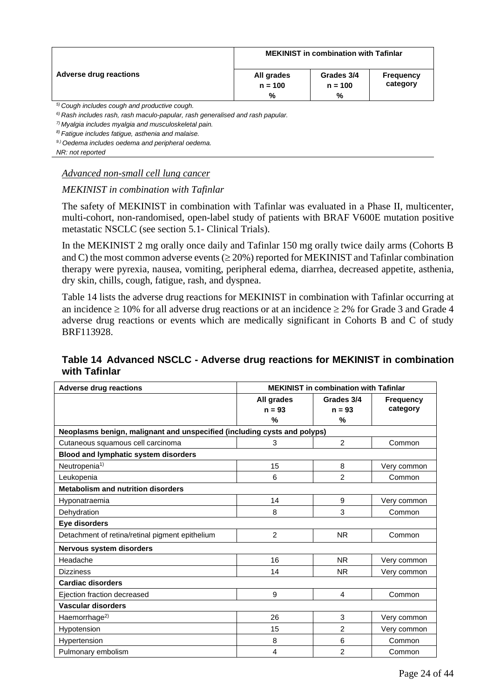|                               | <b>MEKINIST in combination with Tafinlar</b> |                              |                              |  |  |
|-------------------------------|----------------------------------------------|------------------------------|------------------------------|--|--|
| <b>Adverse drug reactions</b> | All grades<br>$n = 100$<br>%                 | Grades 3/4<br>$n = 100$<br>% | <b>Frequency</b><br>category |  |  |
|                               |                                              |                              |                              |  |  |

*5) Cough includes cough and productive cough.*

*6) Rash includes rash, rash maculo-papular, rash generalised and rash papular.* 

*7) Myalgia includes myalgia and musculoskeletal pain.*

*8) Fatigue includes fatigue, asthenia and malaise.* 

*9.) Oedema includes oedema and peripheral oedema.* 

*NR: not reported*

#### *Advanced non-small cell lung cancer*

#### *MEKINIST in combination with Tafinlar*

The safety of MEKINIST in combination with Tafinlar was evaluated in a Phase II, multicenter, multi-cohort, non-randomised, open-label study of patients with BRAF V600E mutation positive metastatic NSCLC (see section 5.1- Clinical Trials).

In the MEKINIST 2 mg orally once daily and Tafinlar 150 mg orally twice daily arms (Cohorts B and C) the most common adverse events  $(\geq 20\%)$  reported for MEKINIST and Tafinlar combination therapy were pyrexia, nausea, vomiting, peripheral edema, diarrhea, decreased appetite, asthenia, dry skin, chills, cough, fatigue, rash, and dyspnea.

Table 14 lists the adverse drug reactions for MEKINIST in combination with Tafinlar occurring at an incidence  $\geq 10\%$  for all adverse drug reactions or at an incidence  $\geq 2\%$  for Grade 3 and Grade 4 adverse drug reactions or events which are medically significant in Cohorts B and C of study BRF113928.

### **Table 14 Advanced NSCLC - Adverse drug reactions for MEKINIST in combination with Tafinlar**

| <b>Adverse drug reactions</b>                                            | <b>MEKINIST in combination with Tafinlar</b> |                |                  |  |
|--------------------------------------------------------------------------|----------------------------------------------|----------------|------------------|--|
|                                                                          | All grades                                   | Grades 3/4     | <b>Frequency</b> |  |
|                                                                          | $n = 93$                                     | $n = 93$       | category         |  |
|                                                                          | %                                            | %              |                  |  |
| Neoplasms benign, malignant and unspecified (including cysts and polyps) |                                              |                |                  |  |
| Cutaneous squamous cell carcinoma                                        | 3                                            | $\overline{2}$ | Common           |  |
| Blood and lymphatic system disorders                                     |                                              |                |                  |  |
| Neutropenia <sup>1)</sup>                                                | 15                                           | 8              | Very common      |  |
| Leukopenia                                                               | 6                                            | 2              | Common           |  |
| <b>Metabolism and nutrition disorders</b>                                |                                              |                |                  |  |
| Hyponatraemia                                                            | 14                                           | 9              | Very common      |  |
| Dehydration                                                              | 8                                            | 3              | Common           |  |
| Eye disorders                                                            |                                              |                |                  |  |
| Detachment of retina/retinal pigment epithelium                          | $\overline{2}$                               | <b>NR</b>      | Common           |  |
| Nervous system disorders                                                 |                                              |                |                  |  |
| Headache                                                                 | 16                                           | <b>NR</b>      | Very common      |  |
| <b>Dizziness</b>                                                         | 14                                           | <b>NR</b>      | Very common      |  |
| <b>Cardiac disorders</b>                                                 |                                              |                |                  |  |
| Ejection fraction decreased                                              | 9                                            | 4              | Common           |  |
| Vascular disorders                                                       |                                              |                |                  |  |
| Haemorrhage <sup>2)</sup>                                                | 26                                           | 3              | Very common      |  |
| Hypotension                                                              | 15                                           | $\overline{2}$ | Very common      |  |
| Hypertension                                                             | 8                                            | 6              | Common           |  |
| Pulmonary embolism                                                       | 4                                            | $\overline{2}$ | Common           |  |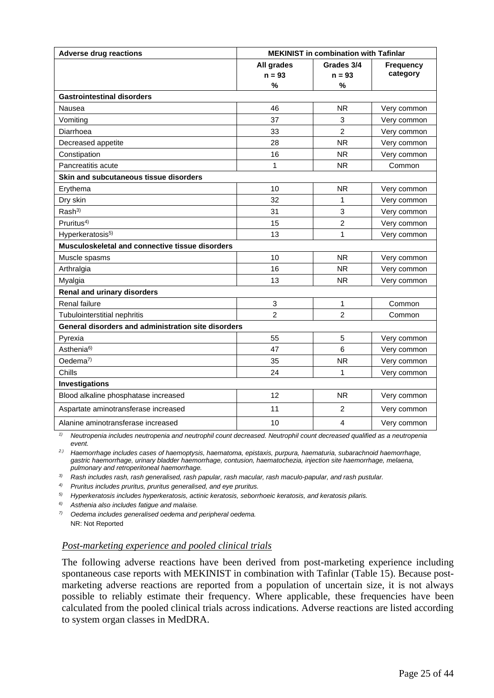| <b>Adverse drug reactions</b><br><b>MEKINIST in combination with Tafinlar</b> |                |                |                  |
|-------------------------------------------------------------------------------|----------------|----------------|------------------|
|                                                                               | All grades     | Grades 3/4     | <b>Frequency</b> |
|                                                                               | $n = 93$       | $n = 93$       | category         |
|                                                                               | %              | $\%$           |                  |
| <b>Gastrointestinal disorders</b>                                             |                |                |                  |
| Nausea                                                                        | 46             | <b>NR</b>      | Very common      |
| Vomiting                                                                      | 37             | 3              | Very common      |
| Diarrhoea                                                                     | 33             | $\overline{2}$ | Very common      |
| Decreased appetite                                                            | 28             | <b>NR</b>      | Very common      |
| Constipation                                                                  | 16             | <b>NR</b>      | Very common      |
| Pancreatitis acute                                                            | 1              | <b>NR</b>      | Common           |
| Skin and subcutaneous tissue disorders                                        |                |                |                  |
| Erythema                                                                      | 10             | <b>NR</b>      | Very common      |
| Dry skin                                                                      | 32             | 1              | Very common      |
| Rash <sup>3)</sup>                                                            | 31             | $\sqrt{3}$     | Very common      |
| Pruritus <sup>4)</sup>                                                        | 15             | $\overline{2}$ | Very common      |
| Hyperkeratosis <sup>5)</sup>                                                  | 13             | 1              | Very common      |
| Musculoskeletal and connective tissue disorders                               |                |                |                  |
| Muscle spasms                                                                 | 10             | <b>NR</b>      | Very common      |
| Arthralgia                                                                    | 16             | <b>NR</b>      | Very common      |
| Myalgia                                                                       | 13             | <b>NR</b>      | Very common      |
| <b>Renal and urinary disorders</b>                                            |                |                |                  |
| Renal failure                                                                 | 3              | 1              | Common           |
| Tubulointerstitial nephritis                                                  | $\mathfrak{p}$ | $\mathfrak{p}$ | Common           |
| General disorders and administration site disorders                           |                |                |                  |
| Pyrexia                                                                       | 55             | 5              | Very common      |
| Asthenia <sup>6)</sup>                                                        | 47             | 6              | Very common      |
| Oedema <sup>7)</sup>                                                          | 35             | <b>NR</b>      | Very common      |
| Chills                                                                        | 24             | 1              | Very common      |
| Investigations                                                                |                |                |                  |
| Blood alkaline phosphatase increased                                          | 12             | <b>NR</b>      | Very common      |
| Aspartate aminotransferase increased                                          | 11             | $\overline{c}$ | Very common      |
| Alanine aminotransferase increased                                            | 10             | 4              | Very common      |

*1) Neutropenia includes neutropenia and neutrophil count decreased. Neutrophil count decreased qualified as a neutropenia event.*

*2.) Haemorrhage includes cases of haemoptysis, haematoma, epistaxis, purpura, haematuria, subarachnoid haemorrhage, gastric haemorrhage, urinary bladder haemorrhage, contusion, haematochezia, injection site haemorrhage, melaena, pulmonary and retroperitoneal haemorrhage.*

*3) Rash includes rash, rash generalised, rash papular, rash macular, rash maculo-papular, and rash pustular.*

*4) Pruritus includes pruritus, pruritus generalised, and eye pruritus.*

*5) Hyperkeratosis includes hyperkeratosis, actinic keratosis, seborrhoeic keratosis, and keratosis pilaris.*

*6) Asthenia also includes fatigue and malaise.*

*7) Oedema includes generalised oedema and peripheral oedema.* NR: Not Reported

#### *Post-marketing experience and pooled clinical trials*

The following adverse reactions have been derived from post-marketing experience including spontaneous case reports with MEKINIST in combination with Tafinlar (Table 15). Because postmarketing adverse reactions are reported from a population of uncertain size, it is not always possible to reliably estimate their frequency. Where applicable, these frequencies have been calculated from the pooled clinical trials across indications. Adverse reactions are listed according to system organ classes in MedDRA.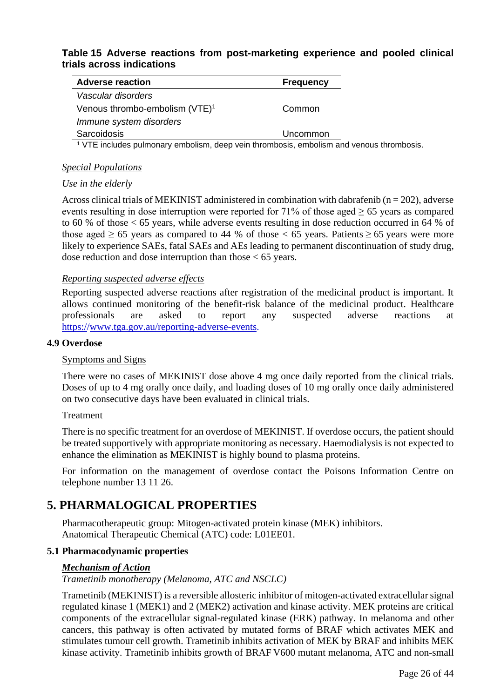### **Table 15 Adverse reactions from post-marketing experience and pooled clinical trials across indications**

| <b>Adverse reaction</b>                    | <b>Frequency</b> |
|--------------------------------------------|------------------|
| Vascular disorders                         |                  |
| Venous thrombo-embolism (VTE) <sup>1</sup> | Common           |
| Immune system disorders                    |                  |
| Sarcoidosis                                | Uncommon         |
| . .<br>.                                   | . .              |

<sup>1</sup> VTE includes pulmonary embolism, deep vein thrombosis, embolism and venous thrombosis.

#### *Special Populations*

#### *Use in the elderly*

Across clinical trials of MEKINIST administered in combination with dabrafenib ( $n = 202$ ), adverse events resulting in dose interruption were reported for  $71\%$  of those aged  $\geq 65$  years as compared to 60 % of those < 65 years, while adverse events resulting in dose reduction occurred in 64 % of those aged  $\geq 65$  years as compared to 44 % of those < 65 years. Patients  $\geq 65$  years were more likely to experience SAEs, fatal SAEs and AEs leading to permanent discontinuation of study drug, dose reduction and dose interruption than those < 65 years.

#### *Reporting suspected adverse effects*

Reporting suspected adverse reactions after registration of the medicinal product is important. It allows continued monitoring of the benefit-risk balance of the medicinal product. Healthcare professionals are asked to report any suspected adverse reactions at https:/[/www.tga.gov.au/reporting-adverse-events.](http://www.tga.gov.au/reporting-adverse-events)

#### **4.9 Overdose**

#### Symptoms and Signs

There were no cases of MEKINIST dose above 4 mg once daily reported from the clinical trials. Doses of up to 4 mg orally once daily, and loading doses of 10 mg orally once daily administered on two consecutive days have been evaluated in clinical trials.

#### Treatment

There is no specific treatment for an overdose of MEKINIST. If overdose occurs, the patient should be treated supportively with appropriate monitoring as necessary. Haemodialysis is not expected to enhance the elimination as MEKINIST is highly bound to plasma proteins.

For information on the management of overdose contact the Poisons Information Centre on telephone number 13 11 26.

## **5. PHARMALOGICAL PROPERTIES**

Pharmacotherapeutic group: Mitogen-activated protein kinase (MEK) inhibitors. Anatomical Therapeutic Chemical (ATC) code: L01EE01.

#### **5.1 Pharmacodynamic properties**

#### *Mechanism of Action*

*Trametinib monotherapy (Melanoma, ATC and NSCLC)*

Trametinib (MEKINIST) is a reversible allosteric inhibitor of mitogen-activated extracellular signal regulated kinase 1 (MEK1) and 2 (MEK2) activation and kinase activity. MEK proteins are critical components of the extracellular signal-regulated kinase (ERK) pathway. In melanoma and other cancers, this pathway is often activated by mutated forms of BRAF which activates MEK and stimulates tumour cell growth. Trametinib inhibits activation of MEK by BRAF and inhibits MEK kinase activity. Trametinib inhibits growth of BRAF V600 mutant melanoma, ATC and non-small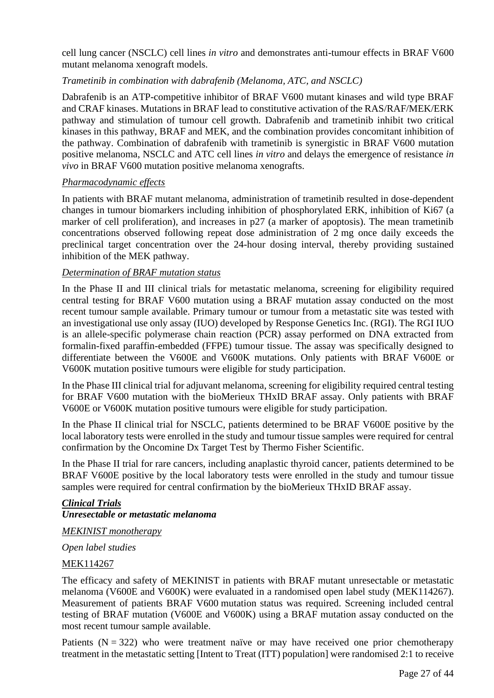cell lung cancer (NSCLC) cell lines *in vitro* and demonstrates anti-tumour effects in BRAF V600 mutant melanoma xenograft models.

### *Trametinib in combination with dabrafenib (Melanoma, ATC, and NSCLC)*

Dabrafenib is an ATP-competitive inhibitor of BRAF V600 mutant kinases and wild type BRAF and CRAF kinases. Mutations in BRAF lead to constitutive activation of the RAS/RAF/MEK/ERK pathway and stimulation of tumour cell growth. Dabrafenib and trametinib inhibit two critical kinases in this pathway, BRAF and MEK, and the combination provides concomitant inhibition of the pathway. Combination of dabrafenib with trametinib is synergistic in BRAF V600 mutation positive melanoma, NSCLC and ATC cell lines *in vitro* and delays the emergence of resistance *in vivo* in BRAF V600 mutation positive melanoma xenografts.

### *Pharmacodynamic effects*

In patients with BRAF mutant melanoma, administration of trametinib resulted in dose-dependent changes in tumour biomarkers including inhibition of phosphorylated ERK, inhibition of Ki67 (a marker of cell proliferation), and increases in p27 (a marker of apoptosis). The mean trametinib concentrations observed following repeat dose administration of 2 mg once daily exceeds the preclinical target concentration over the 24-hour dosing interval, thereby providing sustained inhibition of the MEK pathway.

### *Determination of BRAF mutation status*

In the Phase II and III clinical trials for metastatic melanoma, screening for eligibility required central testing for BRAF V600 mutation using a BRAF mutation assay conducted on the most recent tumour sample available. Primary tumour or tumour from a metastatic site was tested with an investigational use only assay (IUO) developed by Response Genetics Inc. (RGI). The RGI IUO is an allele-specific polymerase chain reaction (PCR) assay performed on DNA extracted from formalin-fixed paraffin-embedded (FFPE) tumour tissue. The assay was specifically designed to differentiate between the V600E and V600K mutations. Only patients with BRAF V600E or V600K mutation positive tumours were eligible for study participation.

In the Phase III clinical trial for adjuvant melanoma, screening for eligibility required central testing for BRAF V600 mutation with the bioMerieux THxID BRAF assay. Only patients with BRAF V600E or V600K mutation positive tumours were eligible for study participation.

In the Phase II clinical trial for NSCLC, patients determined to be BRAF V600E positive by the local laboratory tests were enrolled in the study and tumour tissue samples were required for central confirmation by the Oncomine Dx Target Test by Thermo Fisher Scientific.

In the Phase II trial for rare cancers, including anaplastic thyroid cancer, patients determined to be BRAF V600E positive by the local laboratory tests were enrolled in the study and tumour tissue samples were required for central confirmation by the bioMerieux THxID BRAF assay.

### *Clinical Trials Unresectable or metastatic melanoma*

*MEKINIST monotherapy*

*Open label studies*

### MEK114267

The efficacy and safety of MEKINIST in patients with BRAF mutant unresectable or metastatic melanoma (V600E and V600K) were evaluated in a randomised open label study (MEK114267). Measurement of patients BRAF V600 mutation status was required. Screening included central testing of BRAF mutation (V600E and V600K) using a BRAF mutation assay conducted on the most recent tumour sample available.

Patients  $(N = 322)$  who were treatment naïve or may have received one prior chemotherapy treatment in the metastatic setting [Intent to Treat (ITT) population] were randomised 2:1 to receive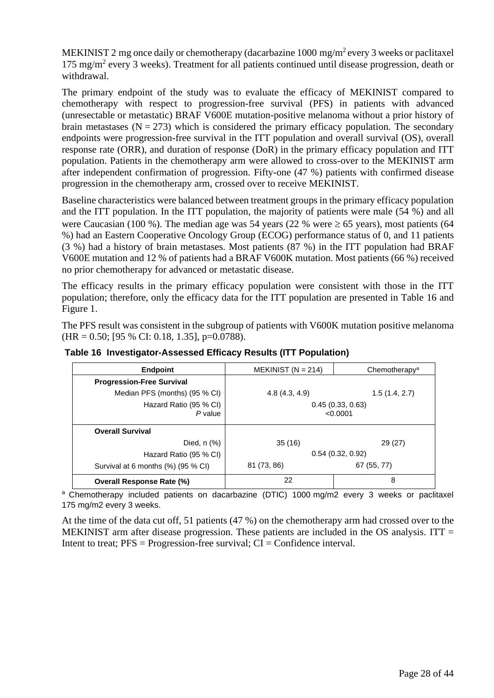MEKINIST 2 mg once daily or chemotherapy (dacarbazine 1000 mg/m<sup>2</sup> every 3 weeks or paclitaxel 175 mg/m<sup>2</sup> every 3 weeks). Treatment for all patients continued until disease progression, death or withdrawal.

The primary endpoint of the study was to evaluate the efficacy of MEKINIST compared to chemotherapy with respect to progression-free survival (PFS) in patients with advanced (unresectable or metastatic) BRAF V600E mutation-positive melanoma without a prior history of brain metastases  $(N = 273)$  which is considered the primary efficacy population. The secondary endpoints were progression-free survival in the ITT population and overall survival (OS), overall response rate (ORR), and duration of response (DoR) in the primary efficacy population and ITT population. Patients in the chemotherapy arm were allowed to cross-over to the MEKINIST arm after independent confirmation of progression. Fifty-one (47 %) patients with confirmed disease progression in the chemotherapy arm, crossed over to receive MEKINIST.

Baseline characteristics were balanced between treatment groups in the primary efficacy population and the ITT population. In the ITT population, the majority of patients were male (54 %) and all were Caucasian (100 %). The median age was 54 years (22 % were  $\geq 65$  years), most patients (64 %) had an Eastern Cooperative Oncology Group (ECOG) performance status of 0, and 11 patients (3 %) had a history of brain metastases. Most patients (87 %) in the ITT population had BRAF V600E mutation and 12 % of patients had a BRAF V600K mutation. Most patients (66 %) received no prior chemotherapy for advanced or metastatic disease.

The efficacy results in the primary efficacy population were consistent with those in the ITT population; therefore, only the efficacy data for the ITT population are presented in Table 16 and Figure 1.

The PFS result was consistent in the subgroup of patients with V600K mutation positive melanoma  $(HR = 0.50; [95 % CI: 0.18, 1.35], p=0.0788).$ 

| <b>Endpoint</b>                    | MEKINIST ( $N = 214$ )       | Chemotherapy <sup>a</sup> |
|------------------------------------|------------------------------|---------------------------|
| <b>Progression-Free Survival</b>   |                              |                           |
| Median PFS (months) (95 % CI)      | 4.8(4.3, 4.9)                | 1.5(1.4, 2.7)             |
| Hazard Ratio (95 % CI)<br>P value  | 0.45(0.33, 0.63)<br>< 0.0001 |                           |
| <b>Overall Survival</b>            |                              |                           |
| Died, $n$ $%$ )                    | 35(16)                       | 29 (27)                   |
| Hazard Ratio (95 % CI)             | 0.54(0.32, 0.92)             |                           |
| Survival at 6 months (%) (95 % CI) | 81 (73, 86)                  | 67 (55, 77)               |
| <b>Overall Response Rate (%)</b>   | 22                           | 8                         |

**Table 16 Investigator-Assessed Efficacy Results (ITT Population)**

<sup>a</sup> Chemotherapy included patients on dacarbazine (DTIC) 1000 mg/m2 every 3 weeks or paclitaxel 175 mg/m2 every 3 weeks.

At the time of the data cut off, 51 patients (47 %) on the chemotherapy arm had crossed over to the MEKINIST arm after disease progression. These patients are included in the OS analysis. ITT  $=$ Intent to treat;  $PFS = Progression-free survival$ ;  $CI = Confidence interval$ .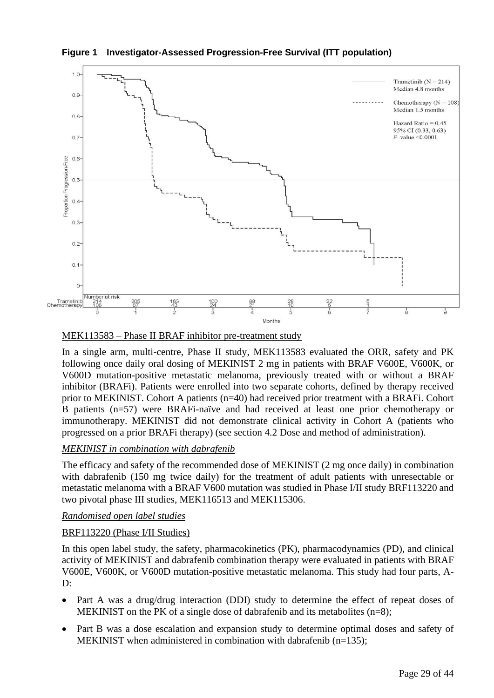**Figure 1 Investigator-Assessed Progression-Free Survival (ITT population)**



#### MEK113583 – Phase II BRAF inhibitor pre-treatment study

In a single arm, multi-centre, Phase II study, MEK113583 evaluated the ORR, safety and PK following once daily oral dosing of MEKINIST 2 mg in patients with BRAF V600E, V600K, or V600D mutation-positive metastatic melanoma, previously treated with or without a BRAF inhibitor (BRAFi). Patients were enrolled into two separate cohorts, defined by therapy received prior to MEKINIST. Cohort A patients (n=40) had received prior treatment with a BRAFi. Cohort B patients (n=57) were BRAFi-naïve and had received at least one prior chemotherapy or immunotherapy. MEKINIST did not demonstrate clinical activity in Cohort A (patients who progressed on a prior BRAFi therapy) (see section 4.2 Dose and method of administration).

### *MEKINIST in combination with dabrafenib*

The efficacy and safety of the recommended dose of MEKINIST (2 mg once daily) in combination with dabrafenib (150 mg twice daily) for the treatment of adult patients with unresectable or metastatic melanoma with a BRAF V600 mutation was studied in Phase I/II study BRF113220 and two pivotal phase III studies, MEK116513 and MEK115306.

#### *Randomised open label studies*

#### BRF113220 (Phase I/II Studies)

In this open label study, the safety, pharmacokinetics (PK), pharmacodynamics (PD), and clinical activity of MEKINIST and dabrafenib combination therapy were evaluated in patients with BRAF V600E, V600K, or V600D mutation-positive metastatic melanoma. This study had four parts, A-D:

- Part A was a drug/drug interaction (DDI) study to determine the effect of repeat doses of MEKINIST on the PK of a single dose of dabrafenib and its metabolites (n=8);
- Part B was a dose escalation and expansion study to determine optimal doses and safety of MEKINIST when administered in combination with dabrafenib (n=135);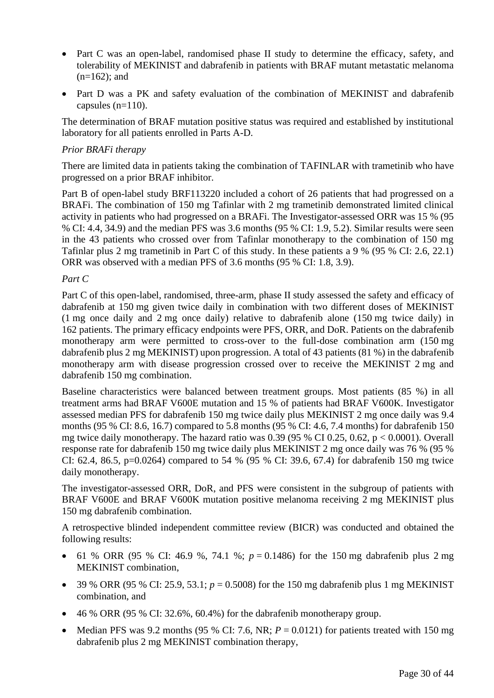- Part C was an open-label, randomised phase II study to determine the efficacy, safety, and tolerability of MEKINIST and dabrafenib in patients with BRAF mutant metastatic melanoma  $(n=162)$ ; and
- Part D was a PK and safety evaluation of the combination of MEKINIST and dabrafenib capsules  $(n=110)$ .

The determination of BRAF mutation positive status was required and established by institutional laboratory for all patients enrolled in Parts A-D.

#### *Prior BRAFi therapy*

There are limited data in patients taking the combination of TAFINLAR with trametinib who have progressed on a prior BRAF inhibitor.

Part B of open-label study BRF113220 included a cohort of 26 patients that had progressed on a BRAFi. The combination of 150 mg Tafinlar with 2 mg trametinib demonstrated limited clinical activity in patients who had progressed on a BRAFi. The Investigator-assessed ORR was 15 % (95 % CI: 4.4, 34.9) and the median PFS was 3.6 months (95 % CI: 1.9, 5.2). Similar results were seen in the 43 patients who crossed over from Tafinlar monotherapy to the combination of 150 mg Tafinlar plus 2 mg trametinib in Part C of this study. In these patients a 9 % (95 % CI: 2.6, 22.1) ORR was observed with a median PFS of 3.6 months (95 % CI: 1.8, 3.9).

#### *Part C*

Part C of this open-label, randomised, three-arm, phase II study assessed the safety and efficacy of dabrafenib at 150 mg given twice daily in combination with two different doses of MEKINIST (1 mg once daily and 2 mg once daily) relative to dabrafenib alone (150 mg twice daily) in 162 patients. The primary efficacy endpoints were PFS, ORR, and DoR. Patients on the dabrafenib monotherapy arm were permitted to cross-over to the full-dose combination arm (150 mg dabrafenib plus 2 mg MEKINIST) upon progression. A total of 43 patients (81 %) in the dabrafenib monotherapy arm with disease progression crossed over to receive the MEKINIST 2 mg and dabrafenib 150 mg combination.

Baseline characteristics were balanced between treatment groups. Most patients (85 %) in all treatment arms had BRAF V600E mutation and 15 % of patients had BRAF V600K. Investigator assessed median PFS for dabrafenib 150 mg twice daily plus MEKINIST 2 mg once daily was 9.4 months (95 % CI: 8.6, 16.7) compared to 5.8 months (95 % CI: 4.6, 7.4 months) for dabrafenib 150 mg twice daily monotherapy. The hazard ratio was  $0.39$  (95 % CI 0.25, 0.62, p < 0.0001). Overall response rate for dabrafenib 150 mg twice daily plus MEKINIST 2 mg once daily was 76 % (95 % CI: 62.4, 86.5, p=0.0264) compared to 54 % (95 % CI: 39.6, 67.4) for dabrafenib 150 mg twice daily monotherapy.

The investigator-assessed ORR, DoR, and PFS were consistent in the subgroup of patients with BRAF V600E and BRAF V600K mutation positive melanoma receiving 2 mg MEKINIST plus 150 mg dabrafenib combination.

A retrospective blinded independent committee review (BICR) was conducted and obtained the following results:

- 61 % ORR (95 % CI: 46.9 %, 74.1 %;  $p = 0.1486$ ) for the 150 mg dabrafenib plus 2 mg MEKINIST combination,
- 39 % ORR (95 % CI: 25.9, 53.1; *p* = 0.5008) for the 150 mg dabrafenib plus 1 mg MEKINIST combination, and
- $\bullet$  46 % ORR (95 % CI: 32.6%, 60.4%) for the dabrafenib monotherapy group.
- Median PFS was 9.2 months (95 % CI: 7.6, NR;  $P = 0.0121$ ) for patients treated with 150 mg dabrafenib plus 2 mg MEKINIST combination therapy,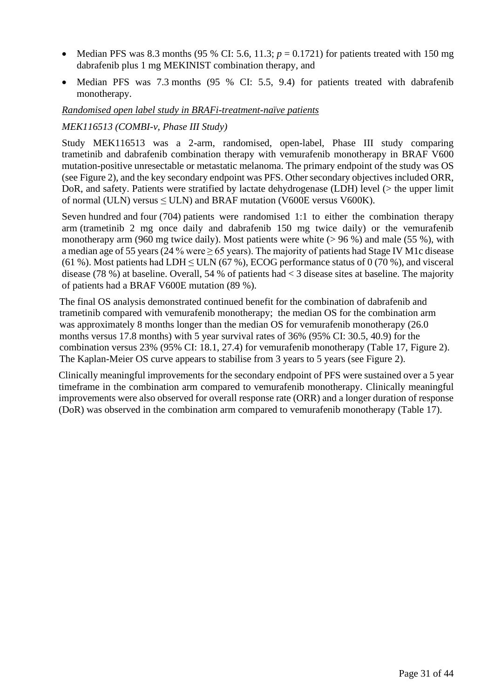- Median PFS was 8.3 months (95 % CI: 5.6, 11.3;  $p = 0.1721$ ) for patients treated with 150 mg dabrafenib plus 1 mg MEKINIST combination therapy, and
- Median PFS was 7.3 months (95 % CI: 5.5, 9.4) for patients treated with dabrafenib monotherapy.

#### *Randomised open label study in BRAFi-treatment-naïve patients*

### *MEK116513 (COMBI-v, Phase III Study)*

Study MEK116513 was a 2-arm, randomised, open-label, Phase III study comparing trametinib and dabrafenib combination therapy with vemurafenib monotherapy in BRAF V600 mutation-positive unresectable or metastatic melanoma. The primary endpoint of the study was OS (see Figure 2), and the key secondary endpoint was PFS. Other secondary objectives included ORR, DoR, and safety. Patients were stratified by lactate dehydrogenase (LDH) level (> the upper limit of normal (ULN) versus  $\leq$  ULN) and BRAF mutation (V600E versus V600K).

Seven hundred and four (704) patients were randomised 1:1 to either the combination therapy arm (trametinib 2 mg once daily and dabrafenib 150 mg twice daily) or the vemurafenib monotherapy arm (960 mg twice daily). Most patients were white  $(> 96\%)$  and male (55 %), with a median age of 55 years (24 % were ≥ 65 years). The majority of patients had Stage IV M1c disease (61 %). Most patients had LDH  $\leq$  ULN (67 %), ECOG performance status of 0 (70 %), and visceral disease (78 %) at baseline. Overall, 54 % of patients had < 3 disease sites at baseline. The majority of patients had a BRAF V600E mutation (89 %).

The final OS analysis demonstrated continued benefit for the combination of dabrafenib and trametinib compared with vemurafenib monotherapy; the median OS for the combination arm was approximately 8 months longer than the median OS for vemurafenib monotherapy (26.0 months versus 17.8 months) with 5 year survival rates of 36% (95% CI: 30.5, 40.9) for the combination versus 23% (95% CI: 18.1, 27.4) for vemurafenib monotherapy (Table 17, Figure 2). The Kaplan-Meier OS curve appears to stabilise from 3 years to 5 years (see Figure 2).

Clinically meaningful improvements for the secondary endpoint of PFS were sustained over a 5 year timeframe in the combination arm compared to vemurafenib monotherapy. Clinically meaningful improvements were also observed for overall response rate (ORR) and a longer duration of response (DoR) was observed in the combination arm compared to vemurafenib monotherapy (Table 17).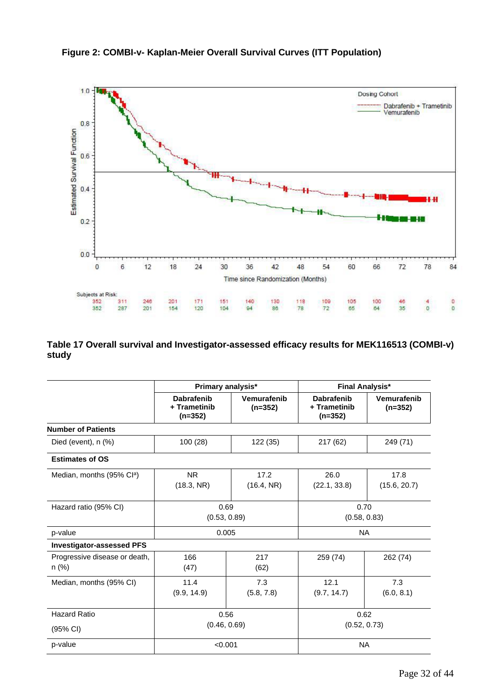

**Figure 2: COMBI-v- Kaplan-Meier Overall Survival Curves (ITT Population)**

**Table 17 Overall survival and Investigator-assessed efficacy results for MEK116513 (COMBI-v) study**

 $\frac{140}{94}$ 

 $\frac{171}{120}$ 

 $\frac{151}{104}$ 

Subjects at Risk:

352

352

 $311$ 

287

246

 $201$ 

 $201$ 

154

Time since Randomization (Months)

130

86

118<br>78

109<br>72

105

65

100

64

 $\frac{46}{35}$ 

 $\frac{4}{0}$ 

|                                          | Primary analysis*                              |                          | <b>Final Analysis*</b>                         |                          |
|------------------------------------------|------------------------------------------------|--------------------------|------------------------------------------------|--------------------------|
|                                          | <b>Dabrafenib</b><br>+ Trametinib<br>$(n=352)$ | Vemurafenib<br>$(n=352)$ | <b>Dabrafenib</b><br>+ Trametinib<br>$(n=352)$ | Vemurafenib<br>$(n=352)$ |
| <b>Number of Patients</b>                |                                                |                          |                                                |                          |
| Died (event), $n$ $(\%)$                 | 100 (28)                                       | 122 (35)                 | 217 (62)                                       | 249 (71)                 |
| <b>Estimates of OS</b>                   |                                                |                          |                                                |                          |
| Median, months (95% Cl <sup>a</sup> )    | <b>NR</b><br>(18.3, NR)                        | 17.2<br>(16.4, NR)       | 26.0<br>(22.1, 33.8)                           | 17.8<br>(15.6, 20.7)     |
| Hazard ratio (95% CI)                    | 0.69<br>(0.53, 0.89)                           |                          | 0.70<br>(0.58, 0.83)                           |                          |
| p-value                                  | 0.005                                          |                          | <b>NA</b>                                      |                          |
| <b>Investigator-assessed PFS</b>         |                                                |                          |                                                |                          |
| Progressive disease or death,<br>$n$ (%) | 166<br>(47)                                    | 217<br>(62)              | 259 (74)                                       | 262 (74)                 |
| Median, months (95% CI)                  | 11.4<br>(9.9, 14.9)                            | 7.3<br>(5.8, 7.8)        | 12.1<br>(9.7, 14.7)                            | 7.3<br>(6.0, 8.1)        |
| <b>Hazard Ratio</b>                      | 0.56                                           |                          |                                                | 0.62                     |
| (95% CI)                                 | (0.46, 0.69)                                   |                          | (0.52, 0.73)                                   |                          |
| p-value                                  | < 0.001                                        |                          | <b>NA</b>                                      |                          |

 $\frac{0}{0}$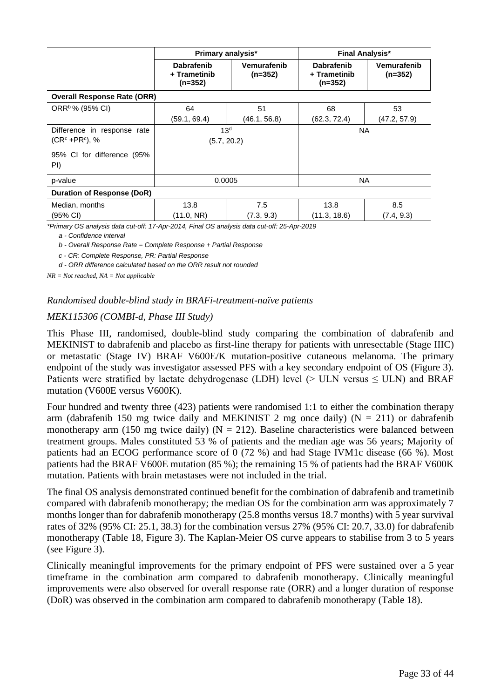|                                    | <b>Primary analysis*</b>                       |                          | <b>Final Analysis*</b>                         |                          |
|------------------------------------|------------------------------------------------|--------------------------|------------------------------------------------|--------------------------|
|                                    | <b>Dabrafenib</b><br>+ Trametinib<br>$(n=352)$ | Vemurafenib<br>$(n=352)$ | <b>Dabrafenib</b><br>+ Trametinib<br>$(n=352)$ | Vemurafenib<br>$(n=352)$ |
| <b>Overall Response Rate (ORR)</b> |                                                |                          |                                                |                          |
| ORR <sup>b</sup> % (95% CI)        | 64                                             | 51                       | 68                                             | 53                       |
|                                    | (59.1, 69.4)                                   | (46.1, 56.8)             | (62.3, 72.4)                                   | (47.2, 57.9)             |
| Difference in response rate        | 13 <sup>d</sup>                                |                          | <b>NA</b>                                      |                          |
| $(CRc + PRc)$ , %                  | (5.7, 20.2)                                    |                          |                                                |                          |
| 95% CI for difference (95%<br>PI)  |                                                |                          |                                                |                          |
| p-value                            | 0.0005                                         |                          | <b>NA</b>                                      |                          |
| Duration of Response (DoR)         |                                                |                          |                                                |                          |
| Median, months                     | 13.8                                           | 7.5                      | 13.8                                           | 8.5                      |
| (95% CI)                           | (11.0, NR)                                     | (7.3, 9.3)               | (11.3, 18.6)                                   | (7.4, 9.3)               |

*\*Primary OS analysis data cut-off: 17-Apr-2014, Final OS analysis data cut-off: 25-Apr-2019*

*a - Confidence interval*

*b - Overall Response Rate = Complete Response + Partial Response*

*c - CR: Complete Response, PR: Partial Response*

*d - ORR difference calculated based on the ORR result not rounded*

*NR = Not reached, NA = Not applicable*

#### *Randomised double-blind study in BRAFi-treatment-naïve patients*

#### *MEK115306 (COMBI-d, Phase III Study)*

This Phase III, randomised, double-blind study comparing the combination of dabrafenib and MEKINIST to dabrafenib and placebo as first-line therapy for patients with unresectable (Stage IIIC) or metastatic (Stage IV) BRAF V600E/K mutation-positive cutaneous melanoma. The primary endpoint of the study was investigator assessed PFS with a key secondary endpoint of OS (Figure 3). Patients were stratified by lactate dehydrogenase (LDH) level ( $>$  ULN versus  $\leq$  ULN) and BRAF mutation (V600E versus V600K).

Four hundred and twenty three (423) patients were randomised 1:1 to either the combination therapy arm (dabrafenib 150 mg twice daily and MEKINIST 2 mg once daily) ( $N = 211$ ) or dabrafenib monotherapy arm (150 mg twice daily) ( $N = 212$ ). Baseline characteristics were balanced between treatment groups. Males constituted 53 % of patients and the median age was 56 years; Majority of patients had an ECOG performance score of 0 (72 %) and had Stage IVM1c disease (66 %). Most patients had the BRAF V600E mutation (85 %); the remaining 15 % of patients had the BRAF V600K mutation. Patients with brain metastases were not included in the trial.

The final OS analysis demonstrated continued benefit for the combination of dabrafenib and trametinib compared with dabrafenib monotherapy; the median OS for the combination arm was approximately 7 months longer than for dabrafenib monotherapy (25.8 months versus 18.7 months) with 5 year survival rates of 32% (95% CI: 25.1, 38.3) for the combination versus 27% (95% CI: 20.7, 33.0) for dabrafenib monotherapy (Table 18, Figure 3). The Kaplan-Meier OS curve appears to stabilise from 3 to 5 years (see Figure 3).

Clinically meaningful improvements for the primary endpoint of PFS were sustained over a 5 year timeframe in the combination arm compared to dabrafenib monotherapy. Clinically meaningful improvements were also observed for overall response rate (ORR) and a longer duration of response (DoR) was observed in the combination arm compared to dabrafenib monotherapy (Table 18).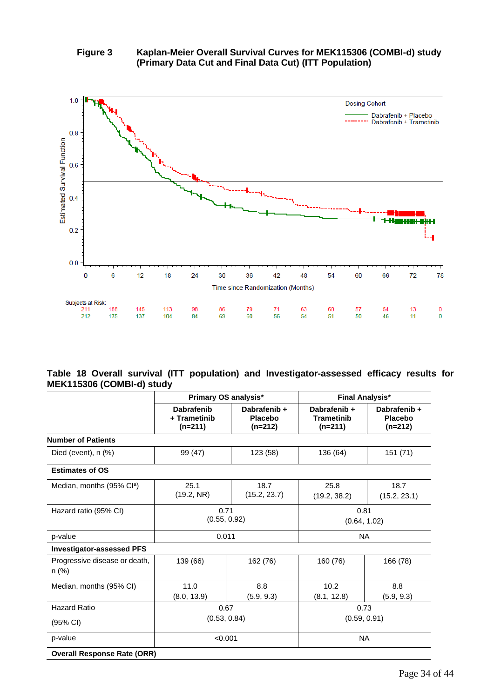### **Figure 3 Kaplan-Meier Overall Survival Curves for MEK115306 (COMBI-d) study (Primary Data Cut and Final Data Cut) (ITT Population)**



#### **Table 18 Overall survival (ITT population) and Investigator-assessed efficacy results for MEK115306 (COMBI-d) study**

|                                        | Primary OS analysis*                           |                                             | <b>Final Analysis*</b>                         |                                             |  |
|----------------------------------------|------------------------------------------------|---------------------------------------------|------------------------------------------------|---------------------------------------------|--|
|                                        | <b>Dabrafenib</b><br>+ Trametinib<br>$(n=211)$ | Dabrafenib +<br><b>Placebo</b><br>$(n=212)$ | Dabrafenib +<br><b>Trametinib</b><br>$(n=211)$ | Dabrafenib +<br><b>Placebo</b><br>$(n=212)$ |  |
| <b>Number of Patients</b>              |                                                |                                             |                                                |                                             |  |
| Died (event), $n$ $(\%)$               | 99 (47)                                        | 123 (58)                                    | 136 (64)                                       | 151 (71)                                    |  |
| <b>Estimates of OS</b>                 |                                                |                                             |                                                |                                             |  |
| Median, months (95% Cl <sup>a</sup> )  | 25.1<br>(19.2, NR)                             | 18.7<br>(15.2, 23.7)                        | 25.8<br>(19.2, 38.2)                           | 18.7<br>(15.2, 23.1)                        |  |
| Hazard ratio (95% CI)                  | 0.71<br>(0.55, 0.92)                           |                                             | 0.81<br>(0.64, 1.02)                           |                                             |  |
| p-value                                | 0.011                                          |                                             |                                                | <b>NA</b>                                   |  |
| <b>Investigator-assessed PFS</b>       |                                                |                                             |                                                |                                             |  |
| Progressive disease or death,<br>n (%) | 139 (66)                                       | 162 (76)                                    | 160 (76)                                       | 166 (78)                                    |  |
| Median, months (95% CI)                | 11.0<br>(8.0, 13.9)                            | 8.8<br>(5.9, 9.3)                           | 10.2<br>(8.1, 12.8)                            | 8.8<br>(5.9, 9.3)                           |  |
| <b>Hazard Ratio</b>                    | 0.67                                           |                                             | 0.73                                           |                                             |  |
| (95% CI)                               | (0.53, 0.84)                                   |                                             | (0.59, 0.91)                                   |                                             |  |
| p-value                                | < 0.001                                        |                                             | <b>NA</b>                                      |                                             |  |
| <b>Overall Response Rate (ORR)</b>     |                                                |                                             |                                                |                                             |  |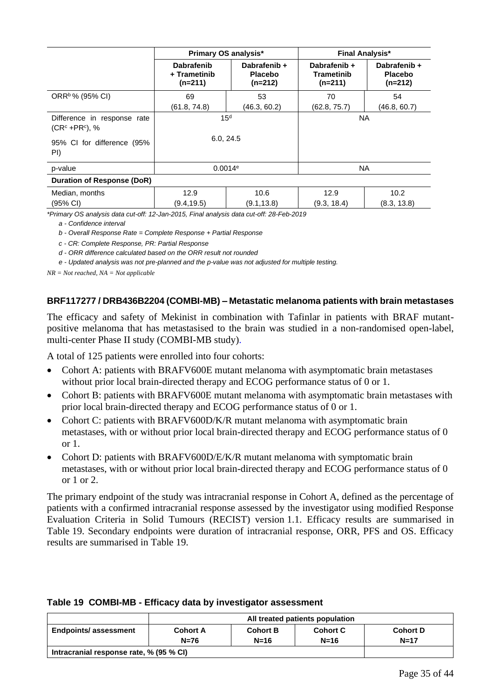|                                                  | <b>Primary OS analysis*</b>                    |                                             | <b>Final Analysis*</b>                  |                                             |
|--------------------------------------------------|------------------------------------------------|---------------------------------------------|-----------------------------------------|---------------------------------------------|
|                                                  | <b>Dabrafenib</b><br>+ Trametinib<br>$(n=211)$ | Dabrafenib +<br><b>Placebo</b><br>$(n=212)$ | Dabrafenib +<br>Trametinib<br>$(n=211)$ | Dabrafenib +<br><b>Placebo</b><br>$(n=212)$ |
| ORR <sup>b</sup> % (95% CI)                      | 69                                             | 53                                          | 70                                      | 54                                          |
|                                                  | (61.8, 74.8)                                   | (46.3, 60.2)                                | (62.8, 75.7)                            | (46.8, 60.7)                                |
| Difference in response rate<br>$(CRc + PRc)$ , % | 15 <sup>d</sup>                                |                                             | <b>NA</b>                               |                                             |
| 95% CI for difference (95%<br>PI)                | 6.0, 24.5                                      |                                             |                                         |                                             |
| p-value                                          | 0.0014e                                        |                                             | <b>NA</b>                               |                                             |
| Duration of Response (DoR)                       |                                                |                                             |                                         |                                             |
| Median, months                                   | 12.9                                           | 10.6                                        | 12.9                                    | 10.2                                        |
| (95% CI)                                         | (9.4, 19.5)                                    | (9.1, 13.8)                                 | (9.3, 18.4)                             | (8.3, 13.8)                                 |

*\*Primary OS analysis data cut-off: 12-Jan-2015, Final analysis data cut-off: 28-Feb-2019*

*a - Confidence interval*

*b - Overall Response Rate = Complete Response + Partial Response*

*c - CR: Complete Response, PR: Partial Response*

*d - ORR difference calculated based on the ORR result not rounded*

*e - Updated analysis was not pre-planned and the p-value was not adjusted for multiple testing.*

*NR = Not reached, NA = Not applicable*

#### **BRF117277 / DRB436B2204 (COMBI-MB) – Metastatic melanoma patients with brain metastases**

The efficacy and safety of Mekinist in combination with Tafinlar in patients with BRAF mutantpositive melanoma that has metastasised to the brain was studied in a non-randomised open-label, multi-center Phase II study (COMBI-MB study).

A total of 125 patients were enrolled into four cohorts:

- Cohort A: patients with BRAFV600E mutant melanoma with asymptomatic brain metastases without prior local brain-directed therapy and ECOG performance status of 0 or 1.
- Cohort B: patients with BRAFV600E mutant melanoma with asymptomatic brain metastases with prior local brain-directed therapy and ECOG performance status of 0 or 1.
- Cohort C: patients with BRAFV600D/K/R mutant melanoma with asymptomatic brain metastases, with or without prior local brain-directed therapy and ECOG performance status of 0 or 1.
- Cohort D: patients with BRAFV600D/E/K/R mutant melanoma with symptomatic brain metastases, with or without prior local brain-directed therapy and ECOG performance status of 0 or 1 or 2.

The primary endpoint of the study was intracranial response in Cohort A, defined as the percentage of patients with a confirmed intracranial response assessed by the investigator using modified Response Evaluation Criteria in Solid Tumours (RECIST) version 1.1. Efficacy results are summarised in Table 19. Secondary endpoints were duration of intracranial response, ORR, PFS and OS. Efficacy results are summarised in Table 19.

|                                         | All treated patients population |                           |                           |                             |
|-----------------------------------------|---------------------------------|---------------------------|---------------------------|-----------------------------|
| <b>Endpoints/assessment</b>             | <b>Cohort A</b><br>$N=76$       | <b>Cohort B</b><br>$N=16$ | <b>Cohort C</b><br>$N=16$ | <b>Cohort D</b><br>$N = 17$ |
| Intracranial response rate, % (95 % CI) |                                 |                           |                           |                             |

#### **Table 19 COMBI-MB - Efficacy data by investigator assessment**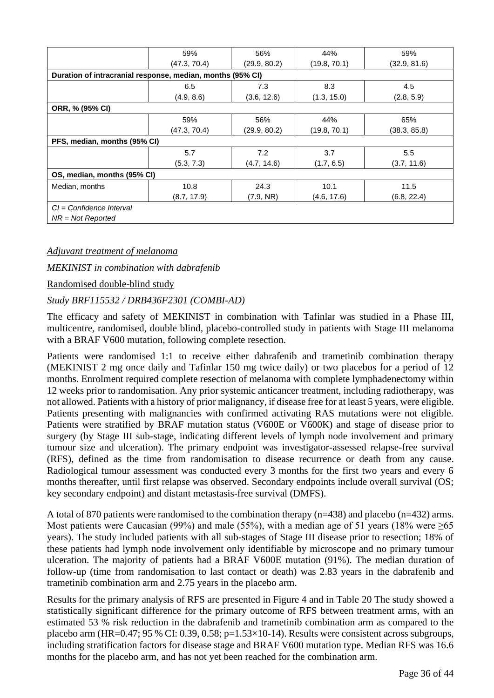|                                                            | 59%          | 56%          | 44%          | 59%          |
|------------------------------------------------------------|--------------|--------------|--------------|--------------|
|                                                            | (47.3, 70.4) | (29.9, 80.2) | (19.8, 70.1) | (32.9, 81.6) |
| Duration of intracranial response, median, months (95% CI) |              |              |              |              |
|                                                            | 6.5          | 7.3          | 8.3          | 4.5          |
|                                                            | (4.9, 8.6)   | (3.6, 12.6)  | (1.3, 15.0)  | (2.8, 5.9)   |
| ORR, % (95% CI)                                            |              |              |              |              |
|                                                            | 59%          | 56%          | 44%          | 65%          |
|                                                            | (47.3, 70.4) | (29.9, 80.2) | (19.8, 70.1) | (38.3, 85.8) |
| PFS, median, months (95% CI)                               |              |              |              |              |
|                                                            | 5.7          | 7.2          | 3.7          | 5.5          |
|                                                            | (5.3, 7.3)   | (4.7, 14.6)  | (1.7, 6.5)   | (3.7, 11.6)  |
| OS, median, months (95% CI)                                |              |              |              |              |
| Median, months                                             | 10.8         | 24.3         | 10.1         | 11.5         |
|                                                            | (8.7, 17.9)  | (7.9, NR)    | (4.6, 17.6)  | (6.8, 22.4)  |
| $Cl =$ Confidence Interval                                 |              |              |              |              |
| $NR = Not$ Reported                                        |              |              |              |              |

#### *Adjuvant treatment of melanoma*

*MEKINIST in combination with dabrafenib*

Randomised double-blind study

#### *Study BRF115532 / DRB436F2301 (COMBI-AD)*

The efficacy and safety of MEKINIST in combination with Tafinlar was studied in a Phase III, multicentre, randomised, double blind, placebo-controlled study in patients with Stage III melanoma with a BRAF V600 mutation, following complete resection.

Patients were randomised 1:1 to receive either dabrafenib and trametinib combination therapy (MEKINIST 2 mg once daily and Tafinlar 150 mg twice daily) or two placebos for a period of 12 months. Enrolment required complete resection of melanoma with complete lymphadenectomy within 12 weeks prior to randomisation. Any prior systemic anticancer treatment, including radiotherapy, was not allowed. Patients with a history of prior malignancy, if disease free for at least 5 years, were eligible. Patients presenting with malignancies with confirmed activating RAS mutations were not eligible. Patients were stratified by BRAF mutation status (V600E or V600K) and stage of disease prior to surgery (by Stage III sub-stage, indicating different levels of lymph node involvement and primary tumour size and ulceration). The primary endpoint was investigator-assessed relapse-free survival (RFS), defined as the time from randomisation to disease recurrence or death from any cause. Radiological tumour assessment was conducted every 3 months for the first two years and every 6 months thereafter, until first relapse was observed. Secondary endpoints include overall survival (OS; key secondary endpoint) and distant metastasis-free survival (DMFS).

A total of 870 patients were randomised to the combination therapy (n=438) and placebo (n=432) arms. Most patients were Caucasian (99%) and male (55%), with a median age of 51 years (18% were  $\geq 65$ years). The study included patients with all sub-stages of Stage III disease prior to resection; 18% of these patients had lymph node involvement only identifiable by microscope and no primary tumour ulceration. The majority of patients had a BRAF V600E mutation (91%). The median duration of follow-up (time from randomisation to last contact or death) was 2.83 years in the dabrafenib and trametinib combination arm and 2.75 years in the placebo arm.

Results for the primary analysis of RFS are presented in Figure 4 and in Table 20 The study showed a statistically significant difference for the primary outcome of RFS between treatment arms, with an estimated 53 % risk reduction in the dabrafenib and trametinib combination arm as compared to the placebo arm (HR=0.47; 95 % CI: 0.39, 0.58; p=1.53×10-14). Results were consistent across subgroups, including stratification factors for disease stage and BRAF V600 mutation type. Median RFS was 16.6 months for the placebo arm, and has not yet been reached for the combination arm.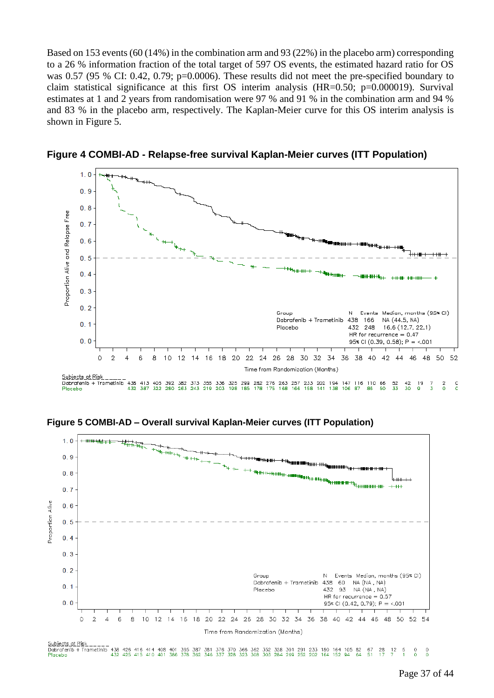Based on 153 events (60 (14%) in the combination arm and 93 (22%) in the placebo arm) corresponding to a 26 % information fraction of the total target of 597 OS events, the estimated hazard ratio for OS was 0.57 (95 % CI: 0.42, 0.79; p=0.0006). These results did not meet the pre-specified boundary to claim statistical significance at this first OS interim analysis (HR=0.50; p=0.000019). Survival estimates at 1 and 2 years from randomisation were 97 % and 91 % in the combination arm and 94 % and 83 % in the placebo arm, respectively. The Kaplan-Meier curve for this OS interim analysis is shown in Figure 5.



**Figure 4 COMBI-AD - Relapse-free survival Kaplan-Meier curves (ITT Population)**

**Figure 5 COMBI-AD – Overall survival Kaplan-Meier curves (ITT Population)**



 $^{67}_{51}$  $\frac{28}{17}$  $\frac{12}{7}$  $\frac{5}{1}$  $\frac{0}{0}$  $\frac{0}{0}$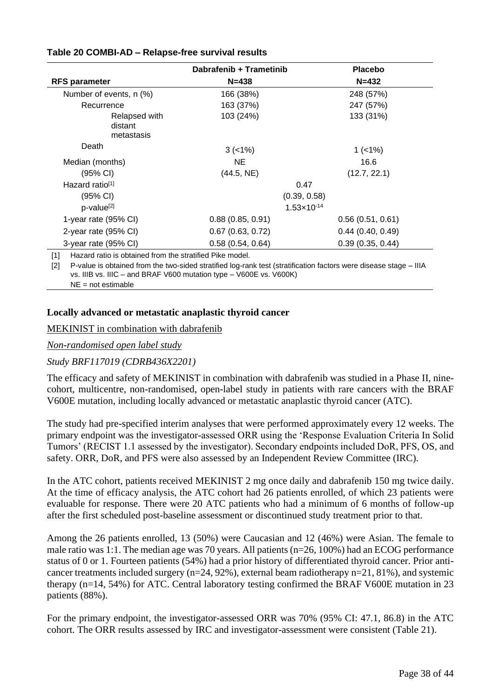|                                        | Dabrafenib + Trametinib | <b>Placebo</b>   |
|----------------------------------------|-------------------------|------------------|
| <b>RFS parameter</b>                   | $N = 438$               | $N = 432$        |
| Number of events, n (%)                | 166 (38%)               | 248 (57%)        |
| Recurrence                             | 163 (37%)               | 247 (57%)        |
| Relapsed with<br>distant<br>metastasis | 103 (24%)               | 133 (31%)        |
| Death                                  | $3 (-1%)$               | $1$ (<1%)        |
| Median (months)                        | NE.                     | 16.6             |
| (95% CI)                               | (44.5, NE)              | (12.7, 22.1)     |
| Hazard ratio <sup>[1]</sup>            | 0.47                    |                  |
| $(95% \text{ Cl})$                     | (0.39, 0.58)            |                  |
| p-value <sup>[2]</sup>                 | $1.53 \times 10^{-14}$  |                  |
| 1-year rate (95% CI)                   | 0.88(0.85, 0.91)        | 0.56(0.51, 0.61) |
| 2-year rate (95% CI)                   | 0.67(0.63, 0.72)        | 0.44(0.40, 0.49) |
| 3-year rate (95% CI)                   | 0.58(0.54, 0.64)        | 0.39(0.35, 0.44) |

### **Table 20 COMBI-AD – Relapse-free survival results**

[1] Hazard ratio is obtained from the stratified Pike model.

[2] P-value is obtained from the two-sided stratified log-rank test (stratification factors were disease stage – IIIA vs. IIIB vs. IIIC – and BRAF V600 mutation type – V600E vs. V600K) NE = not estimable

### **Locally advanced or metastatic anaplastic thyroid cancer**

### MEKINIST in combination with dabrafenib

### *Non-randomised open label study*

### *Study BRF117019 (CDRB436X2201)*

The efficacy and safety of MEKINIST in combination with dabrafenib was studied in a Phase II, ninecohort, multicentre, non-randomised, open-label study in patients with rare cancers with the BRAF V600E mutation, including locally advanced or metastatic anaplastic thyroid cancer (ATC).

The study had pre-specified interim analyses that were performed approximately every 12 weeks. The primary endpoint was the investigator-assessed ORR using the 'Response Evaluation Criteria In Solid Tumors' (RECIST 1.1 assessed by the investigator). Secondary endpoints included DoR, PFS, OS, and safety. ORR, DoR, and PFS were also assessed by an Independent Review Committee (IRC).

In the ATC cohort, patients received MEKINIST 2 mg once daily and dabrafenib 150 mg twice daily. At the time of efficacy analysis, the ATC cohort had 26 patients enrolled, of which 23 patients were evaluable for response. There were 20 ATC patients who had a minimum of 6 months of follow-up after the first scheduled post-baseline assessment or discontinued study treatment prior to that.

Among the 26 patients enrolled, 13 (50%) were Caucasian and 12 (46%) were Asian. The female to male ratio was 1:1. The median age was 70 years. All patients (n=26, 100%) had an ECOG performance status of 0 or 1. Fourteen patients (54%) had a prior history of differentiated thyroid cancer. Prior anticancer treatments included surgery (n=24, 92%), external beam radiotherapy n=21, 81%), and systemic therapy (n=14, 54%) for ATC. Central laboratory testing confirmed the BRAF V600E mutation in 23 patients (88%).

For the primary endpoint, the investigator-assessed ORR was 70% (95% CI: 47.1, 86.8) in the ATC cohort. The ORR results assessed by IRC and investigator-assessment were consistent (Table 21).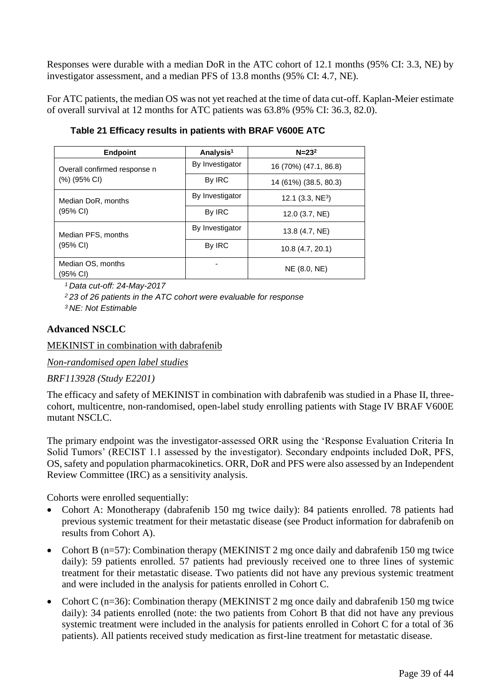Responses were durable with a median DoR in the ATC cohort of 12.1 months (95% CI: 3.3, NE) by investigator assessment, and a median PFS of 13.8 months (95% CI: 4.7, NE).

For ATC patients, the median OS was not yet reached at the time of data cut-off. Kaplan-Meier estimate of overall survival at 12 months for ATC patients was 63.8% (95% CI: 36.3, 82.0).

| <b>Endpoint</b>               | Analysis <sup>1</sup> | $N = 232$             |
|-------------------------------|-----------------------|-----------------------|
| Overall confirmed response n  | By Investigator       | 16 (70%) (47.1, 86.8) |
| (%) (95% CI)                  | By IRC                | 14 (61%) (38.5, 80.3) |
| Median DoR, months            | By Investigator       | 12.1 $(3.3, NE3)$     |
| $(95% \text{ Cl})$            | By IRC                | 12.0 (3.7, NE)        |
| Median PFS, months            | By Investigator       | 13.8 (4.7, NE)        |
| $(95% \text{ Cl})$            | By IRC                | 10.8 (4.7, 20.1)      |
| Median OS, months<br>(95% CI) |                       | NE (8.0, NE)          |

**Table 21 Efficacy results in patients with BRAF V600E ATC**

*<sup>1</sup>Data cut-off: 24-May-2017*

*<sup>2</sup>23 of 26 patients in the ATC cohort were evaluable for response*

*<sup>3</sup>NE: Not Estimable*

### **Advanced NSCLC**

MEKINIST in combination with dabrafenib

*Non-randomised open label studies*

*BRF113928 (Study E2201)*

The efficacy and safety of MEKINIST in combination with dabrafenib was studied in a Phase II, threecohort, multicentre, non-randomised, open-label study enrolling patients with Stage IV BRAF V600E mutant NSCLC.

The primary endpoint was the investigator-assessed ORR using the 'Response Evaluation Criteria In Solid Tumors' (RECIST 1.1 assessed by the investigator). Secondary endpoints included DoR, PFS, OS, safety and population pharmacokinetics. ORR, DoR and PFS were also assessed by an Independent Review Committee (IRC) as a sensitivity analysis.

Cohorts were enrolled sequentially:

- Cohort A: Monotherapy (dabrafenib 150 mg twice daily): 84 patients enrolled. 78 patients had previous systemic treatment for their metastatic disease (see Product information for dabrafenib on results from Cohort A).
- Cohort B (n=57): Combination therapy (MEKINIST 2 mg once daily and dabrafenib 150 mg twice daily): 59 patients enrolled. 57 patients had previously received one to three lines of systemic treatment for their metastatic disease. Two patients did not have any previous systemic treatment and were included in the analysis for patients enrolled in Cohort C.
- Cohort C (n=36): Combination therapy (MEKINIST 2 mg once daily and dabrafenib 150 mg twice daily): 34 patients enrolled (note: the two patients from Cohort B that did not have any previous systemic treatment were included in the analysis for patients enrolled in Cohort C for a total of 36 patients). All patients received study medication as first-line treatment for metastatic disease.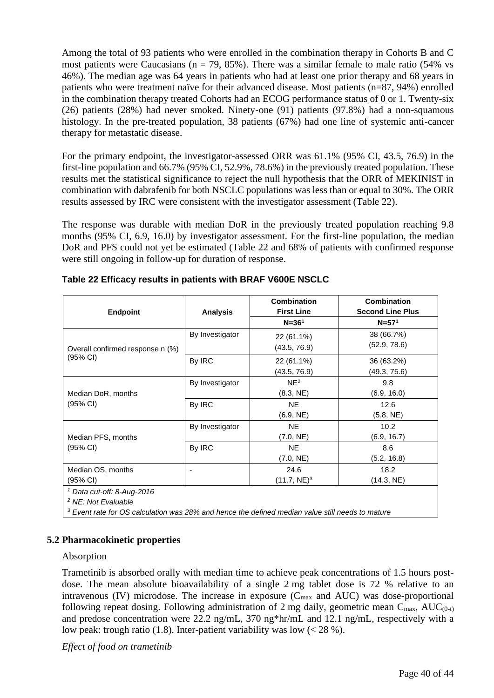Among the total of 93 patients who were enrolled in the combination therapy in Cohorts B and C most patients were Caucasians ( $n = 79$ , 85%). There was a similar female to male ratio (54% vs 46%). The median age was 64 years in patients who had at least one prior therapy and 68 years in patients who were treatment naïve for their advanced disease. Most patients (n=87, 94%) enrolled in the combination therapy treated Cohorts had an ECOG performance status of 0 or 1. Twenty-six (26) patients (28%) had never smoked. Ninety-one (91) patients (97.8%) had a non-squamous histology. In the pre-treated population, 38 patients (67%) had one line of systemic anti-cancer therapy for metastatic disease.

For the primary endpoint, the investigator-assessed ORR was 61.1% (95% CI, 43.5, 76.9) in the first-line population and 66.7% (95% CI, 52.9%, 78.6%) in the previously treated population. These results met the statistical significance to reject the null hypothesis that the ORR of MEKINIST in combination with dabrafenib for both NSCLC populations was less than or equal to 30%. The ORR results assessed by IRC were consistent with the investigator assessment (Table 22).

The response was durable with median DoR in the previously treated population reaching 9.8 months (95% CI, 6.9, 16.0) by investigator assessment. For the first-line population, the median DoR and PFS could not yet be estimated (Table 22 and 68% of patients with confirmed response were still ongoing in follow-up for duration of response.

| <b>Endpoint</b>                                                                                    | <b>Analysis</b>          | <b>Combination</b><br><b>First Line</b> | <b>Combination</b><br><b>Second Line Plus</b> |  |  |  |
|----------------------------------------------------------------------------------------------------|--------------------------|-----------------------------------------|-----------------------------------------------|--|--|--|
|                                                                                                    |                          | $N = 361$                               | $N = 571$                                     |  |  |  |
|                                                                                                    | By Investigator          | 22 (61.1%)                              | 38 (66.7%)                                    |  |  |  |
| Overall confirmed response n (%)                                                                   |                          | (43.5, 76.9)                            | (52.9, 78.6)                                  |  |  |  |
| $(95% \text{ Cl})$                                                                                 | By IRC                   | 22 (61.1%)                              | 36 (63.2%)                                    |  |  |  |
|                                                                                                    |                          | (43.5, 76.9)                            | (49.3, 75.6)                                  |  |  |  |
|                                                                                                    | By Investigator          | NE <sup>2</sup>                         | 9.8                                           |  |  |  |
| Median DoR, months<br>$(95% \text{ Cl})$                                                           |                          | (8.3, NE)                               | (6.9, 16.0)                                   |  |  |  |
|                                                                                                    | By IRC                   | <b>NE</b>                               | 12.6                                          |  |  |  |
|                                                                                                    |                          | (6.9, NE)                               | (5.8, NE)                                     |  |  |  |
|                                                                                                    | By Investigator          | <b>NE</b>                               | 10.2                                          |  |  |  |
| Median PFS, months                                                                                 |                          | (7.0, NE)                               | (6.9, 16.7)                                   |  |  |  |
| $(95% \text{ Cl})$                                                                                 | By IRC                   | <b>NE</b>                               | 8.6                                           |  |  |  |
|                                                                                                    |                          | (7.0, NE)                               | (5.2, 16.8)                                   |  |  |  |
| Median OS, months                                                                                  | $\overline{\phantom{a}}$ | 24.6                                    | 18.2                                          |  |  |  |
| $(95% \text{ Cl})$                                                                                 |                          | $(11.7, NE)^3$                          | (14.3, NE)                                    |  |  |  |
| $1$ Data cut-off: 8-Aug-2016                                                                       |                          |                                         |                                               |  |  |  |
| <sup>2</sup> NE: Not Evaluable                                                                     |                          |                                         |                                               |  |  |  |
| $3$ Event rate for OS calculation was 28% and hence the defined median value still needs to mature |                          |                                         |                                               |  |  |  |

**Table 22 Efficacy results in patients with BRAF V600E NSCLC**

### **5.2 Pharmacokinetic properties**

#### Absorption

Trametinib is absorbed orally with median time to achieve peak concentrations of 1.5 hours postdose. The mean absolute bioavailability of a single 2 mg tablet dose is 72 % relative to an intravenous (IV) microdose. The increase in exposure  $(C_{\text{max}}$  and AUC) was dose-proportional following repeat dosing. Following administration of 2 mg daily, geometric mean  $C_{\text{max}}$ , AU $C_{(0-t)}$ and predose concentration were 22.2 ng/mL, 370 ng\*hr/mL and 12.1 ng/mL, respectively with a low peak: trough ratio (1.8). Inter-patient variability was low  $(< 28\%$ ).

*Effect of food on trametinib*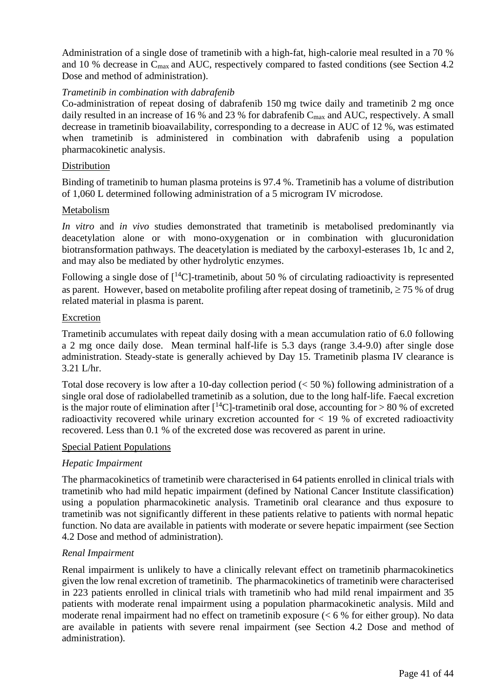Administration of a single dose of trametinib with a high-fat, high-calorie meal resulted in a 70 % and 10 % decrease in C<sub>max</sub> and AUC, respectively compared to fasted conditions (see Section 4.2) Dose and method of administration).

#### *Trametinib in combination with dabrafenib*

Co-administration of repeat dosing of dabrafenib 150 mg twice daily and trametinib 2 mg once daily resulted in an increase of 16 % and 23 % for dabrafenib  $C_{\text{max}}$  and AUC, respectively. A small decrease in trametinib bioavailability, corresponding to a decrease in AUC of 12 %, was estimated when trametinib is administered in combination with dabrafenib using a population pharmacokinetic analysis.

#### Distribution

Binding of trametinib to human plasma proteins is 97.4 %. Trametinib has a volume of distribution of 1,060 L determined following administration of a 5 microgram IV microdose.

#### Metabolism

*In vitro* and *in vivo* studies demonstrated that trametinib is metabolised predominantly via deacetylation alone or with mono-oxygenation or in combination with glucuronidation biotransformation pathways. The deacetylation is mediated by the carboxyl-esterases 1b, 1c and 2, and may also be mediated by other hydrolytic enzymes.

Following a single dose of  $[^{14}C]$ -trametinib, about 50 % of circulating radioactivity is represented as parent. However, based on metabolite profiling after repeat dosing of trametinib,  $\geq 75$  % of drug related material in plasma is parent.

#### **Excretion**

Trametinib accumulates with repeat daily dosing with a mean accumulation ratio of 6.0 following a 2 mg once daily dose. Mean terminal half-life is 5.3 days (range 3.4-9.0) after single dose administration. Steady-state is generally achieved by Day 15. Trametinib plasma IV clearance is 3.21 L/hr.

Total dose recovery is low after a 10-day collection period  $(< 50 %$ ) following administration of a single oral dose of radiolabelled trametinib as a solution, due to the long half-life. Faecal excretion is the major route of elimination after  $\lceil {^{14}C}\rceil$ -trametinib oral dose, accounting for > 80 % of excreted radioactivity recovered while urinary excretion accounted for  $< 19$  % of excreted radioactivity recovered. Less than 0.1 % of the excreted dose was recovered as parent in urine.

#### Special Patient Populations

#### *Hepatic Impairment*

The pharmacokinetics of trametinib were characterised in 64 patients enrolled in clinical trials with trametinib who had mild hepatic impairment (defined by National Cancer Institute classification) using a population pharmacokinetic analysis. Trametinib oral clearance and thus exposure to trametinib was not significantly different in these patients relative to patients with normal hepatic function. No data are available in patients with moderate or severe hepatic impairment (see Section 4.2 Dose and method of administration).

#### *Renal Impairment*

Renal impairment is unlikely to have a clinically relevant effect on trametinib pharmacokinetics given the low renal excretion of trametinib. The pharmacokinetics of trametinib were characterised in 223 patients enrolled in clinical trials with trametinib who had mild renal impairment and 35 patients with moderate renal impairment using a population pharmacokinetic analysis. Mild and moderate renal impairment had no effect on trametinib exposure (< 6 % for either group). No data are available in patients with severe renal impairment (see Section 4.2 Dose and method of administration).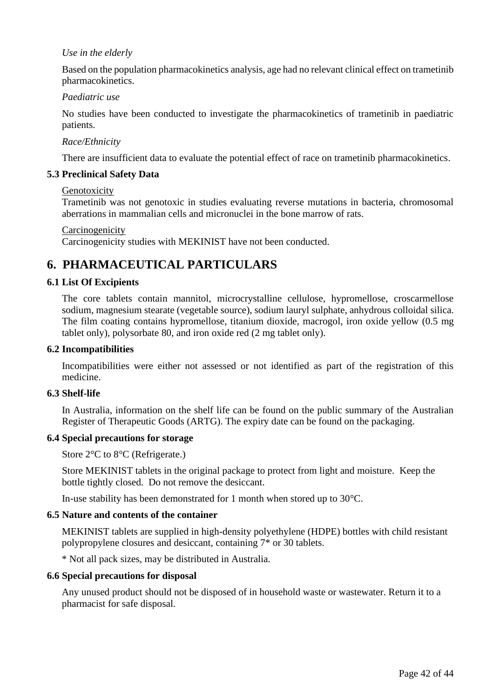#### *Use in the elderly*

Based on the population pharmacokinetics analysis, age had no relevant clinical effect on trametinib pharmacokinetics.

#### *Paediatric use*

No studies have been conducted to investigate the pharmacokinetics of trametinib in paediatric patients.

#### *Race/Ethnicity*

There are insufficient data to evaluate the potential effect of race on trametinib pharmacokinetics.

#### **5.3 Preclinical Safety Data**

#### Genotoxicity

Trametinib was not genotoxic in studies evaluating reverse mutations in bacteria, chromosomal aberrations in mammalian cells and micronuclei in the bone marrow of rats.

#### **Carcinogenicity**

Carcinogenicity studies with MEKINIST have not been conducted.

## **6. PHARMACEUTICAL PARTICULARS**

#### **6.1 List Of Excipients**

The core tablets contain mannitol, microcrystalline cellulose, hypromellose, croscarmellose sodium, magnesium stearate (vegetable source), sodium lauryl sulphate, anhydrous colloidal silica. The film coating contains hypromellose, titanium dioxide, macrogol, iron oxide yellow (0.5 mg tablet only), polysorbate 80, and iron oxide red (2 mg tablet only).

#### **6.2 Incompatibilities**

Incompatibilities were either not assessed or not identified as part of the registration of this medicine.

#### **6.3 Shelf-life**

In Australia, information on the shelf life can be found on the public summary of the Australian Register of Therapeutic Goods (ARTG). The expiry date can be found on the packaging.

#### **6.4 Special precautions for storage**

Store 2°C to 8°C (Refrigerate.)

Store MEKINIST tablets in the original package to protect from light and moisture. Keep the bottle tightly closed. Do not remove the desiccant.

In-use stability has been demonstrated for 1 month when stored up to 30°C.

#### **6.5 Nature and contents of the container**

MEKINIST tablets are supplied in high-density polyethylene (HDPE) bottles with child resistant polypropylene closures and desiccant, containing 7\* or 30 tablets.

\* Not all pack sizes, may be distributed in Australia.

#### **6.6 Special precautions for disposal**

Any unused product should not be disposed of in household waste or wastewater. Return it to a pharmacist for safe disposal.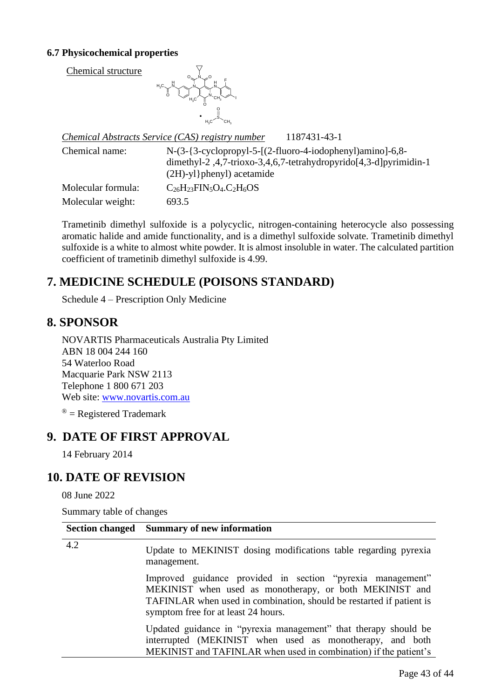### **6.7 Physicochemical properties**

Chemical structure



|                    | 1187431-43-1<br>Chemical Abstracts Service (CAS) registry number                                                                                                               |
|--------------------|--------------------------------------------------------------------------------------------------------------------------------------------------------------------------------|
| Chemical name:     | $N-(3-\{3-cyclopropyl-5-(2-fluoro-4-iodophenyl)aminol-6,8-\}$<br>dimethyl-2, $4,7$ -trioxo-3, $4,6,7$ -tetrahydropyrido $[4,3-d]$ pyrimidin-1<br>$(2H)-yl$ } phenyl) acetamide |
| Molecular formula: | $C_{26}H_{23}FIN_5O_4.C_2H_6OS$                                                                                                                                                |
| Molecular weight:  | 693.5                                                                                                                                                                          |

Trametinib dimethyl sulfoxide is a polycyclic, nitrogen-containing heterocycle also possessing aromatic halide and amide functionality, and is a dimethyl sulfoxide solvate. Trametinib dimethyl sulfoxide is a white to almost white powder. It is almost insoluble in water. The calculated partition coefficient of trametinib dimethyl sulfoxide is 4.99.

## **7. MEDICINE SCHEDULE (POISONS STANDARD)**

Schedule 4 – Prescription Only Medicine

## **8. SPONSOR**

NOVARTIS Pharmaceuticals Australia Pty Limited ABN 18 004 244 160 54 Waterloo Road Macquarie Park NSW 2113 Telephone 1 800 671 203 Web site: [www.novartis.com.au](http://www.novartis.com.au/)

 $\mathcal{B}$  = Registered Trademark

## **9. DATE OF FIRST APPROVAL**

14 February 2014

## **10. DATE OF REVISION**

08 June 2022

Summary table of changes

|     | Section changed Summary of new information                                                                                                                                                                                           |
|-----|--------------------------------------------------------------------------------------------------------------------------------------------------------------------------------------------------------------------------------------|
| 4.2 | Update to MEKINIST dosing modifications table regarding pyrexia<br>management.                                                                                                                                                       |
|     | Improved guidance provided in section "pyrexia management"<br>MEKINIST when used as monotherapy, or both MEKINIST and<br>TAFINLAR when used in combination, should be restarted if patient is<br>symptom free for at least 24 hours. |
|     | Updated guidance in "pyrexia management" that therapy should be<br>interrupted (MEKINIST when used as monotherapy, and both<br>MEKINIST and TAFINLAR when used in combination) if the patient's                                      |